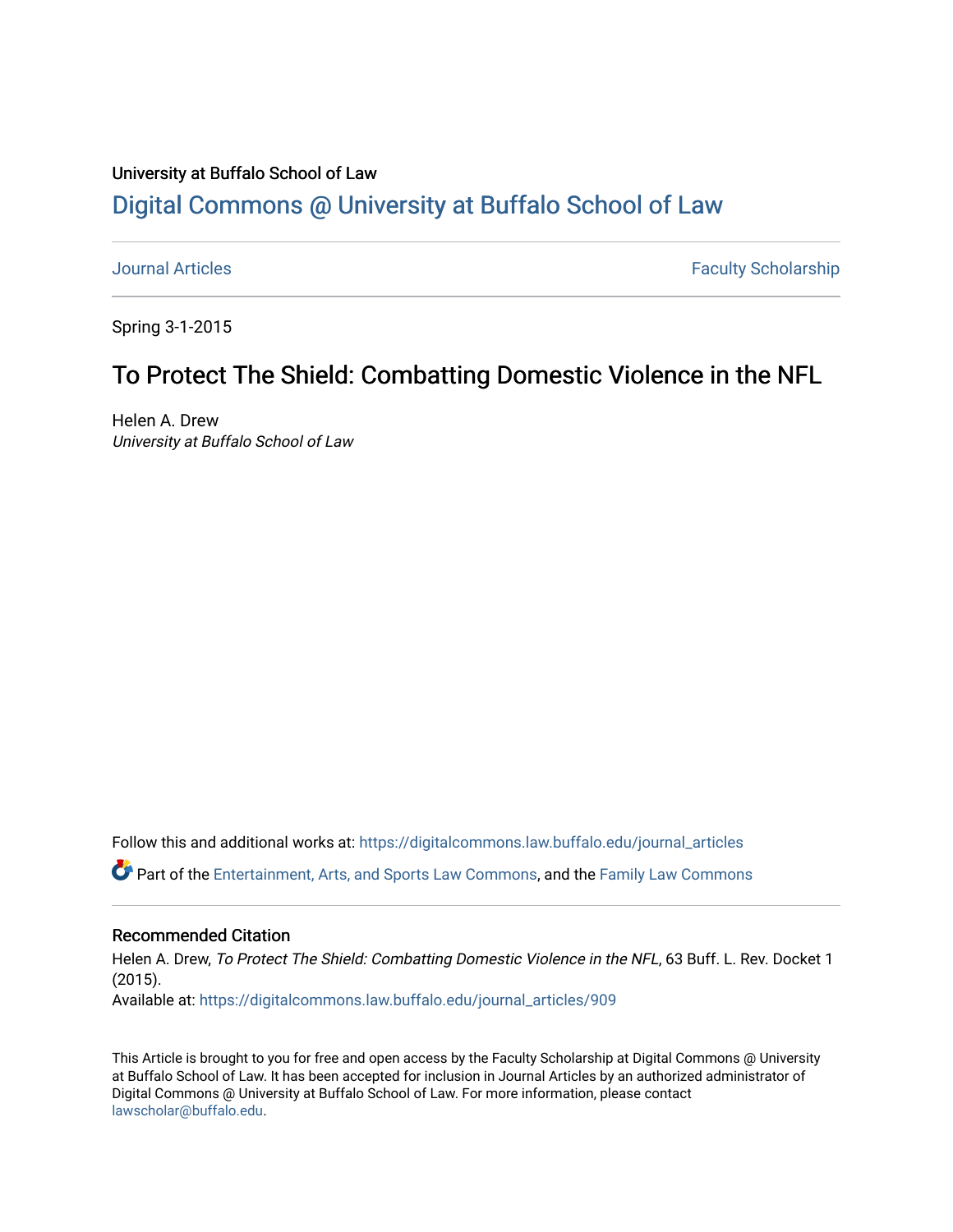# University at Buffalo School of Law [Digital Commons @ University at Buffalo School of Law](https://digitalcommons.law.buffalo.edu/)

[Journal Articles](https://digitalcommons.law.buffalo.edu/journal_articles) **Faculty Scholarship** 

Spring 3-1-2015

# To Protect The Shield: Combatting Domestic Violence in the NFL

Helen A. Drew University at Buffalo School of Law

Follow this and additional works at: [https://digitalcommons.law.buffalo.edu/journal\\_articles](https://digitalcommons.law.buffalo.edu/journal_articles?utm_source=digitalcommons.law.buffalo.edu%2Fjournal_articles%2F909&utm_medium=PDF&utm_campaign=PDFCoverPages) 

Part of the [Entertainment, Arts, and Sports Law Commons](https://network.bepress.com/hgg/discipline/893?utm_source=digitalcommons.law.buffalo.edu%2Fjournal_articles%2F909&utm_medium=PDF&utm_campaign=PDFCoverPages), and the [Family Law Commons](https://network.bepress.com/hgg/discipline/602?utm_source=digitalcommons.law.buffalo.edu%2Fjournal_articles%2F909&utm_medium=PDF&utm_campaign=PDFCoverPages) 

#### Recommended Citation

Helen A. Drew, To Protect The Shield: Combatting Domestic Violence in the NFL, 63 Buff. L. Rev. Docket 1 (2015). Available at: [https://digitalcommons.law.buffalo.edu/journal\\_articles/909](https://digitalcommons.law.buffalo.edu/journal_articles/909?utm_source=digitalcommons.law.buffalo.edu%2Fjournal_articles%2F909&utm_medium=PDF&utm_campaign=PDFCoverPages)

This Article is brought to you for free and open access by the Faculty Scholarship at Digital Commons @ University at Buffalo School of Law. It has been accepted for inclusion in Journal Articles by an authorized administrator of Digital Commons @ University at Buffalo School of Law. For more information, please contact [lawscholar@buffalo.edu](mailto:lawscholar@buffalo.edu).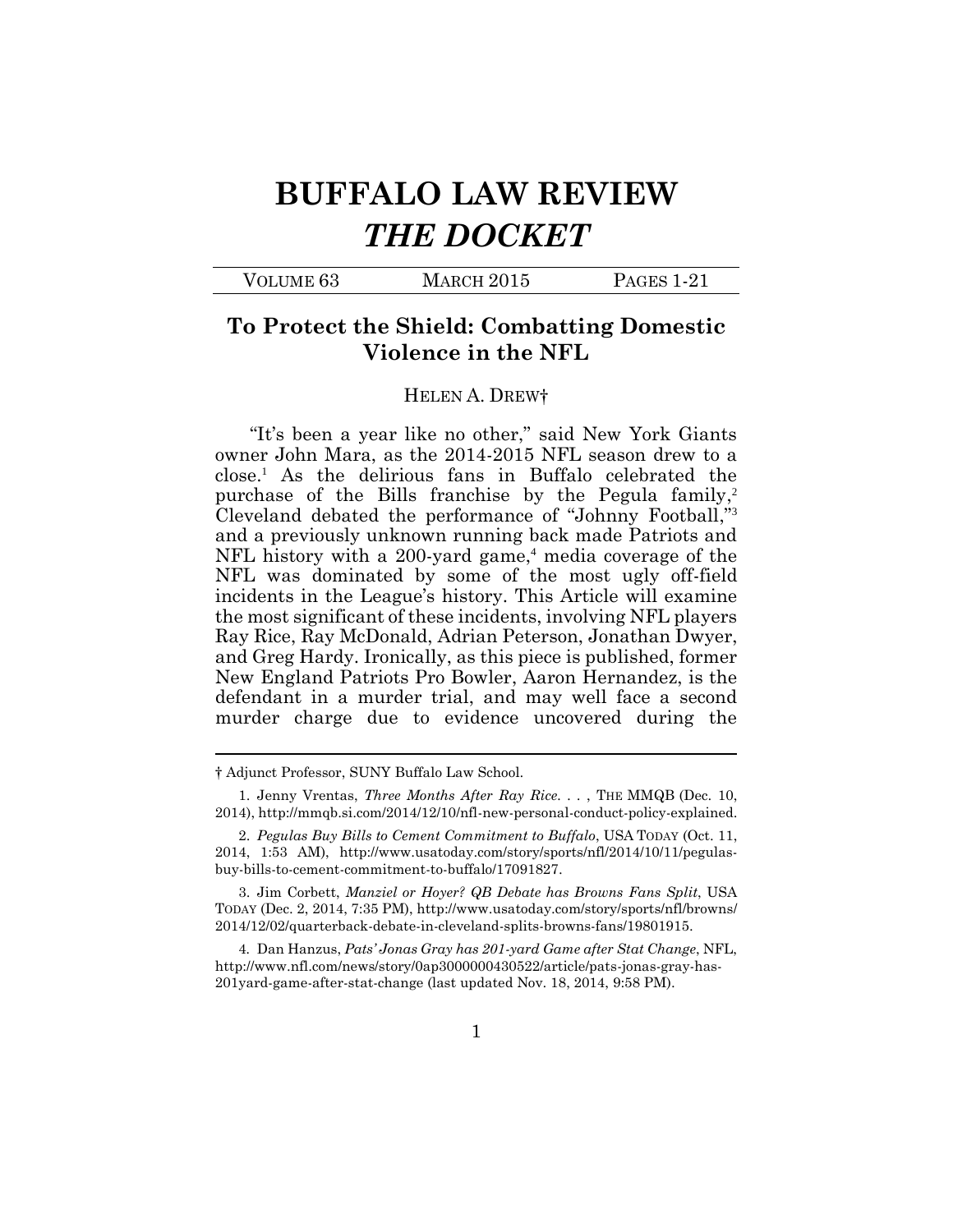# **BUFFALO LAW REVIEW**  *THE DOCKET*

## **To Protect the Shield: Combatting Domestic Violence in the NFL**

#### HELEN A. DREW†

 "It's been a year like no other," said New York Giants owner John Mara, as the 2014-2015 NFL season drew to a close.<sup>1</sup> As the delirious fans in Buffalo celebrated the purchase of the Bills franchise by the Pegula family,<sup>2</sup> Cleveland debated the performance of "Johnny Football,"<sup>3</sup> and a previously unknown running back made Patriots and NFL history with a 200-yard game,<sup>4</sup> media coverage of the NFL was dominated by some of the most ugly off-field incidents in the League's history. This Article will examine the most significant of these incidents, involving NFL players Ray Rice, Ray McDonald, Adrian Peterson, Jonathan Dwyer, and Greg Hardy. Ironically, as this piece is published, former New England Patriots Pro Bowler, Aaron Hernandez, is the defendant in a murder trial, and may well face a second murder charge due to evidence uncovered during the

 TODAY (Dec. 2, 2014, 7:35 PM),<http://www.usatoday.com/story/sports/nfl/browns>/ 3. Jim Corbett, *Manziel or Hoyer? QB Debate has Browns Fans Split*, USA 2014/12/02/quarterback-debate-in-cleveland-splits-browns-fans/19801915.

4*.* Dan Hanzus, *Pats' Jonas Gray has 201-yard Game after Stat Change*, NFL, [http://www.nfl.com/news/story/0ap3000000430522/article/pats-jonas-gray-has-](http://www.nfl.com/news/story/0ap3000000430522/article/pats-jonas-gray-has)201yard-game-after-stat-change (last updated Nov. 18, 2014, 9:58 PM).

<sup>†</sup> Adjunct Professor, SUNY Buffalo Law School.

 2014),<http://mmqb.si.com/2014/12/10/nfl-new-personal-conduct-policy-explained>. 2. *Pegulas Buy Bills to Cement Commitment to Buffalo*, USA TODAY (Oct. 11, 1. Jenny Vrentas, *Three Months After Ray Rice. . .* , THE MMQB (Dec. 10,

 2014, 1:53 AM), <http://www.usatoday.com/story/sports/nfl/2014/10/11/pegulas>buy-bills-to-cement-commitment-to-buffalo/17091827.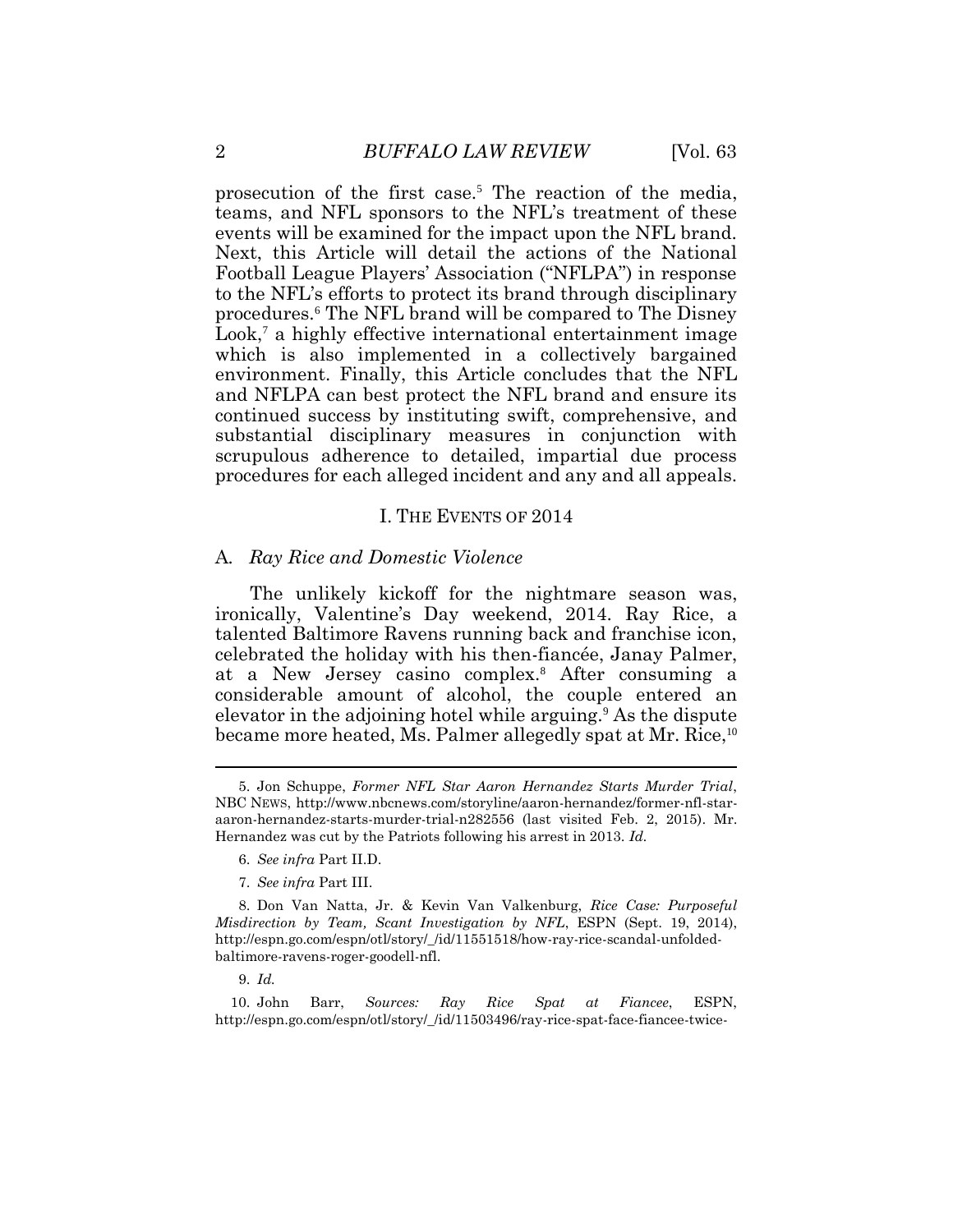teams, and NFL sponsors to the NFL's treatment of these Next, this Article will detail the actions of the National procedures.<sup>6</sup> The NFL brand will be compared to The Disney Look,<sup>7</sup> a highly effective international entertainment image which is also implemented in a collectively bargained environment. Finally, this Article concludes that the NFL and NFLPA can best protect the NFL brand and ensure its continued success by instituting swift, comprehensive, and scrupulous adherence to detailed, impartial due process procedures for each alleged incident and any and all appeals. 2 *BUFFALO LAW REVIEW* [Vol. 63 prosecution of the first case.<sup>5</sup> The reaction of the media, events will be examined for the impact upon the NFL brand. Football League Players' Association ("NFLPA") in response to the NFL's efforts to protect its brand through disciplinary substantial disciplinary measures in conjunction with

#### I. THE EVENTS OF 2014

#### A*. Ray Rice and Domestic Violence*

 The unlikely kickoff for the nightmare season was, ironically, Valentine's Day weekend, 2014. Ray Rice, a talented Baltimore Ravens running back and franchise icon, celebrated the holiday with his then-fiancée, Janay Palmer, at a New Jersey casino complex.<sup>8</sup> After consuming a considerable amount of alcohol, the couple entered an elevator in the adjoining hotel while arguing.<sup>9</sup> As the dispute became more heated, Ms. Palmer allegedly spat at Mr. Rice,<sup>10</sup>

9. *Id.* 

<sup>5.</sup> Jon Schuppe, *Former NFL Star Aaron Hernandez Starts Murder Trial*, NBC NEWS, <http://www.nbcnews.com/storyline/aaron-hernandez/former-nfl-star>aaron-hernandez-starts-murder-trial-n282556 (last visited Feb. 2, 2015). Mr. Hernandez was cut by the Patriots following his arrest in 2013. *Id.* 

<sup>6.</sup> *See infra* Part II.D.

<sup>7.</sup> *See infra* Part III.

 *Misdirection by Team, Scant Investigation by NFL*, ESPN (Sept. 19, 2014), 8. Don Van Natta, Jr. & Kevin Van Valkenburg, *Rice Case: Purposeful*  [http://espn.go.com/espn/otl/story/\\_/id/11551518/how-ray-rice-scandal-unfolded](http://espn.go.com/espn/otl/story/_/id/11551518/how-ray-rice-scandal-unfolded)baltimore-ravens-roger-goodell-nfl.

<sup>10.</sup> John Barr, *Sources: Ray Rice Spat at Fiancee*, ESPN, [http://espn.go.com/espn/otl/story/\\_/id/11503496/ray-rice-spat-face-fiancee-twice-](http://espn.go.com/espn/otl/story/_/id/11503496/ray-rice-spat-face-fiancee-twice)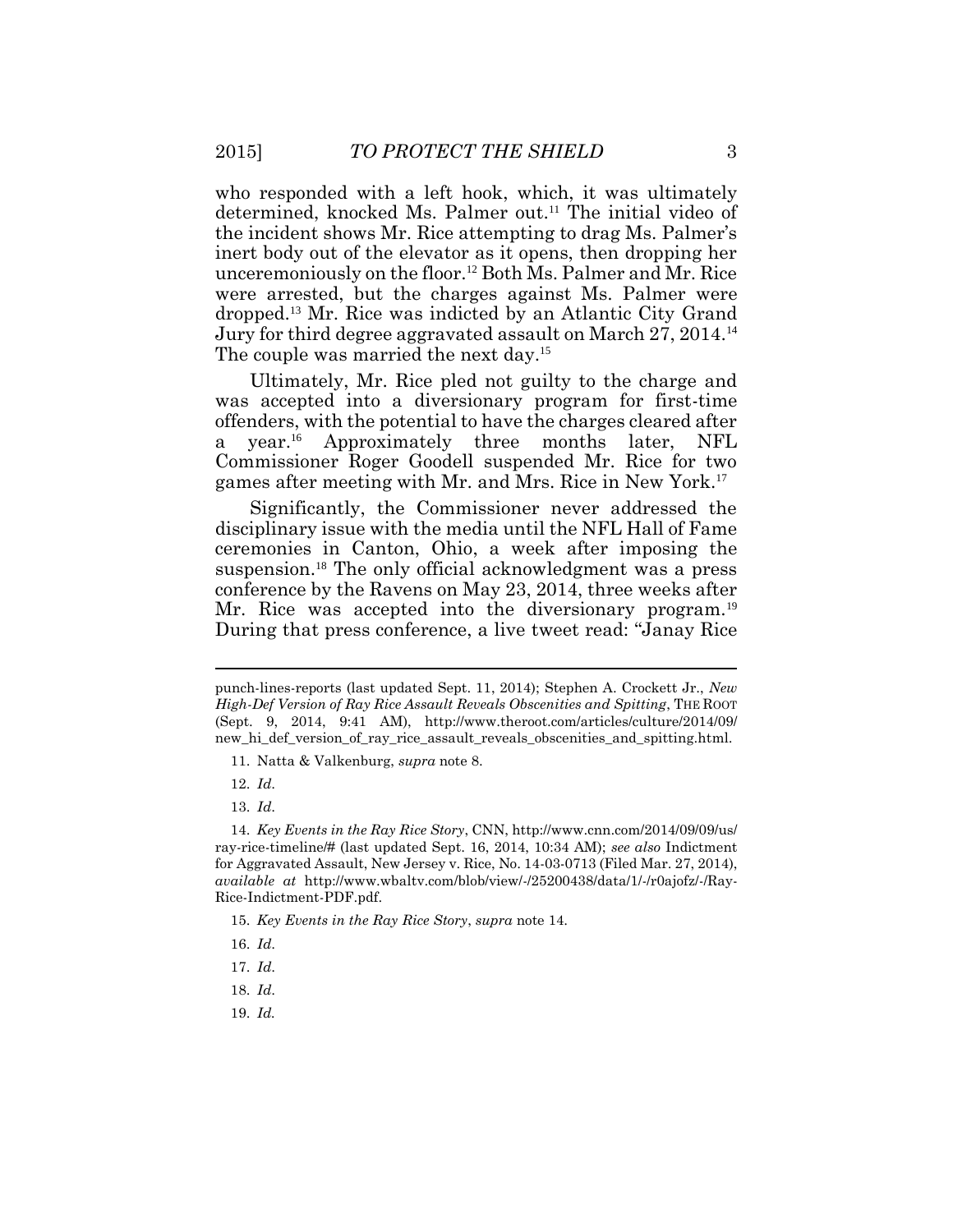who responded with a left hook, which, it was ultimately determined, knocked Ms. Palmer out.<sup>11</sup> The initial video of the incident shows Mr. Rice attempting to drag Ms. Palmer's unceremoniously on the [floor.](https://floor.12)<sup>12</sup> Both Ms. Palmer and Mr. Rice were arrested, but the charges against Ms. Palmer were [dropped.](https://dropped.13)<sup>13</sup> Mr. Rice was indicted by an Atlantic City Grand Jury for third degree aggravated assault on March 27, 2014.<sup>14</sup> inert body out of the elevator as it opens, then dropping her The couple was married the next day.<sup>15</sup>

 Ultimately, Mr. Rice pled not guilty to the charge and was accepted into a diversionary program for first-time offenders, with the potential to have the charges cleared after  $\mathbf{a}$  Commissioner Roger Goodell suspended Mr. Rice for two year.<sup>16</sup> Approximately three months later, NFL games after meeting with Mr. and Mrs. Rice in New York.<sup>17</sup>

 Significantly, the Commissioner never addressed the disciplinary issue with the media until the NFL Hall of Fame ceremonies in Canton, Ohio, a week after imposing the [suspension.](https://suspension.18)<sup>18</sup> The only official acknowledgment was a press conference by the Ravens on May 23, 2014, three weeks after During that press conference, a live tweet read: "Janay Rice Mr. Rice was accepted into the diversionary [program.](https://program.19)<sup>19</sup>

13. *Id*.

15. *Key Events in the Ray Rice Story*, *supra* note 14.

- 17. *Id*.
- 18. *Id*.
- 19. *Id.*

 punch-lines-reports (last updated Sept. 11, 2014); Stephen A. Crockett Jr., *New High-Def Version of Ray Rice Assault Reveals Obscenities and Spitting*, THE ROOT (Sept. 9, 2014, 9:41 AM), <http://www.theroot.com/articles/culture/2014/09>/ new hi\_def\_version\_of\_ray\_rice\_assault\_reveals\_obscenities\_and\_spitting.html.

<sup>11.</sup> Natta & Valkenburg, *supra* note 8.

<sup>12.</sup> *Id*.

 for Aggravated Assault, New Jersey v. Rice, No. 14-03-0713 (Filed Mar. 27, 2014), 14. *Key Events in the Ray Rice Story*, CNN,<http://www.cnn.com/2014/09/09/us>/ ray-rice-timeline/# (last updated Sept. 16, 2014, 10:34 AM); *see also* Indictment *available at* [http://www.wbaltv.com/blob/view/-/25200438/data/1/-/r0ajofz/-/Ray-](http://www.wbaltv.com/blob/view/-/25200438/data/1/-/r0ajofz/-/Ray)Rice-Indictment-PDF.pdf.

<sup>16.</sup> *Id*.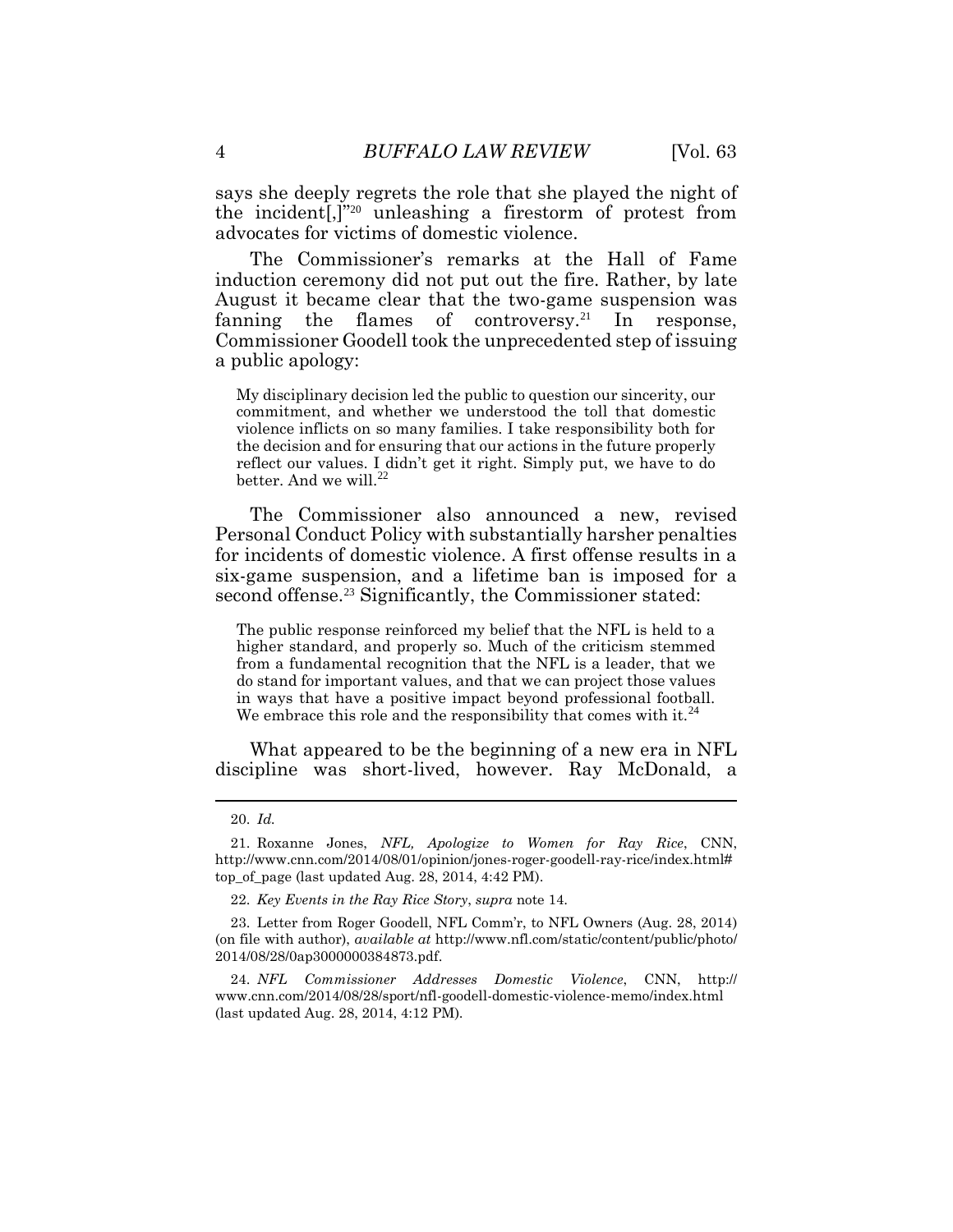4 *BUFFALO LAW REVIEW* [Vol. 63 says she deeply regrets the role that she played the night of the incident[,]"<sup>20</sup> unleashing a firestorm of protest from advocates for victims of domestic violence.

 The Commissioner's remarks at the Hall of Fame induction ceremony did not put out the fire. Rather, by late Commissioner Goodell took the unprecedented step of issuing a public apology: August it became clear that the two-game suspension was fanning the flames of [controversy.](https://controversy.21)<sup>21</sup> In response,

 My disciplinary decision led the public to question our sincerity, our commitment, and whether we understood the toll that domestic violence inflicts on so many families. I take responsibility both for the decision and for ensuring that our actions in the future properly reflect our values. I didn't get it right. Simply put, we have to do better. And we will.<sup>22</sup>

 The Commissioner also announced a new, revised Personal Conduct Policy with substantially harsher penalties for incidents of domestic violence. A first offense results in a six-game suspension, and a lifetime ban is imposed for a second [offense.](https://offense.23)<sup>23</sup> Significantly, the Commissioner stated:

 The public response reinforced my belief that the NFL is held to a higher standard, and properly so. Much of the criticism stemmed from a fundamental recognition that the NFL is a leader, that we do stand for important values, and that we can project those values in ways that have a positive impact beyond professional football. We embrace this role and the responsibility that comes with it. $^{24}$ 

 What appeared to be the beginning of a new era in NFL discipline was short-lived, however. Ray McDonald, a

 $\overline{a}$ 

<sup>20.</sup> *Id.* 

<sup>21.</sup> Roxanne Jones, *NFL, Apologize to Women for Ray Rice*, CNN, [http://www.cnn.com/2014/08/01/opinion/jones-roger-goodell-ray-rice/index.html#](http://www.cnn.com/2014/08/01/opinion/jones-roger-goodell-ray-rice/index.html) top of page (last updated Aug. 28, 2014, 4:42 PM).

 22. *Key Events in the Ray Rice Story*, *supra* note 14.

<sup>23.</sup> Letter from Roger Goodell, NFL Comm'r, to NFL Owners (Aug. 28, 2014) (on file with author), *available at* <http://www.nfl.com/static/content/public/photo>/ 2014/08/28/0ap3000000384873.pdf.

 24. *NFL Commissioner Addresses Domestic Violence*, CNN, http:// <www.cnn.com/2014/08/28/sport/nfl-goodell-domestic-violence-memo/index.html> (last updated Aug. 28, 2014, 4:12 PM).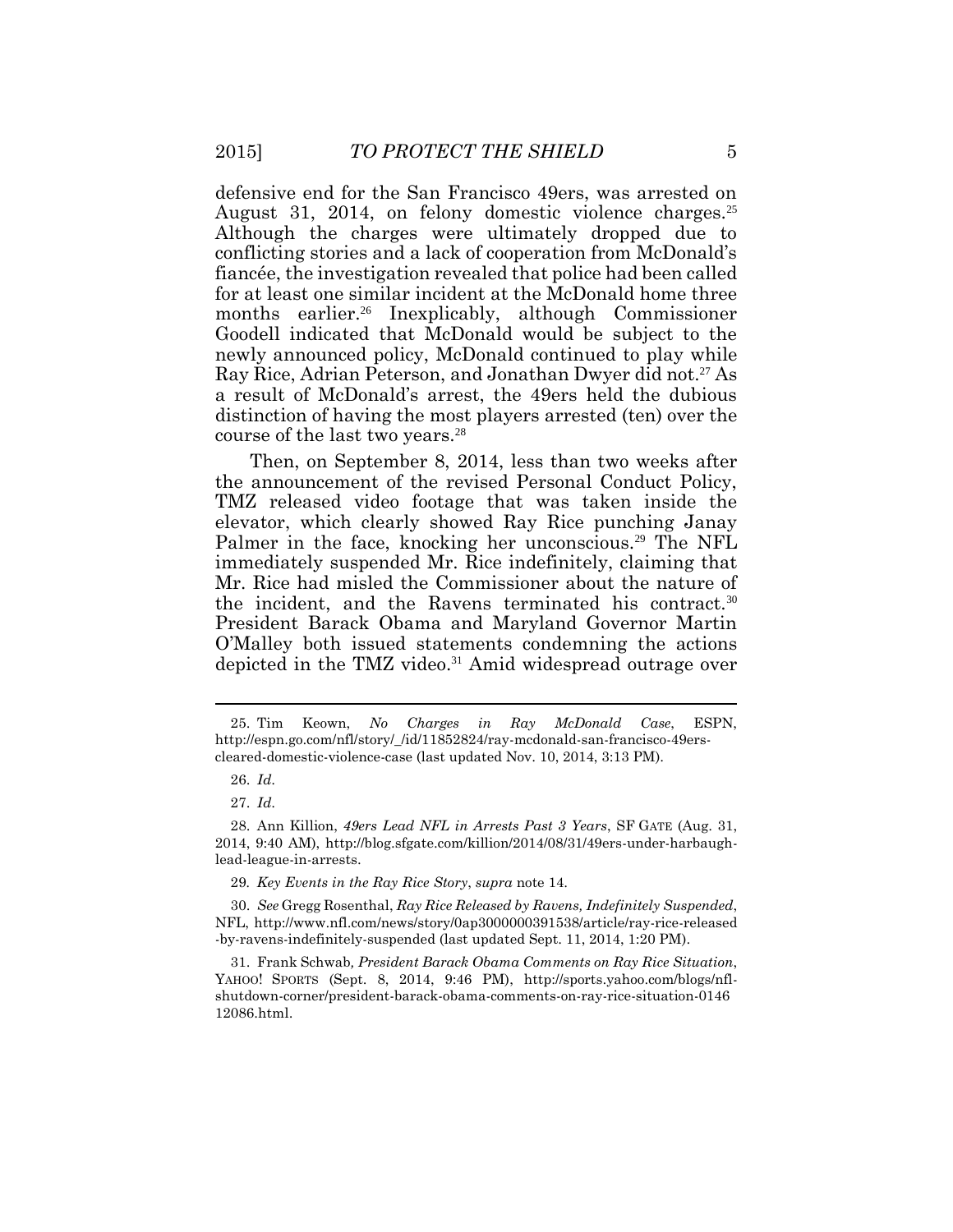defensive end for the San Francisco 49ers, was arrested on August 31, 2014, on felony domestic violence [charges.](https://charges.25)<sup>25</sup> Although the charges were ultimately dropped due to conflicting stories and a lack of cooperation from McDonald's fiancée, the investigation revealed that police had been called months [earlier.](https://earlier.26)<sup>26</sup> Inexplicably, although Commissioner Goodell indicated that McDonald would be subject to the newly announced policy, McDonald continued to play while Ray Rice, Adrian Peterson, and Jonathan Dwyer did not.<sup>27</sup> As distinction of having the most players arrested (ten) over the course of the last two [years.](https://years.28)<sup>28</sup> for at least one similar incident at the McDonald home three a result of McDonald's arrest, the 49ers held the dubious

 Then, on September 8, 2014, less than two weeks after the announcement of the revised Personal Conduct Policy, TMZ released video footage that was taken inside the Palmer in the face, knocking her [unconscious.](https://unconscious.29)<sup>29</sup> The NFL immediately suspended Mr. Rice indefinitely, claiming that President Barack Obama and Maryland Governor Martin depicted in the TMZ [video.](https://video.31)<sup>31</sup> Amid widespread outrage over elevator, which clearly showed Ray Rice punching Janay Mr. Rice had misled the Commissioner about the nature of the incident, and the Ravens terminated his [contract.](https://contract.30)<sup>30</sup> O'Malley both issued statements condemning the actions

 29*. Key Events in the Ray Rice Story*, *supra* note 14.

30. *See* Gregg Rosenthal, *Ray Rice Released by Ravens, Indefinitely Suspended*, NFL, <http://www.nfl.com/news/story/0ap3000000391538/article/ray-rice-released> -by-ravens-indefinitely-suspended (last updated Sept. 11, 2014, 1:20 PM).

 YAHOO! SPORTS (Sept. 8, 2014, 9:46 PM), [http://sports.yahoo.com/blogs/nfl-](http://sports.yahoo.com/blogs/nfl)31. Frank Schwab*, President Barack Obama Comments on Ray Rice Situation*, shutdown-corner/president-barack-obama-comments-on-ray-rice-situation-0146 12086.html.

<sup>25.</sup> Tim Keown, *No Charges in Ray McDonald Case*, ESPN, [http://espn.go.com/nfl/story/\\_/id/11852824/ray-mcdonald-san-francisco-49ers](http://espn.go.com/nfl/story/_/id/11852824/ray-mcdonald-san-francisco-49ers)cleared-domestic-violence-case (last updated Nov. 10, 2014, 3:13 PM).

<sup>26.</sup> *Id*.

<sup>27.</sup> *Id*.

 2014, 9:40 AM), [http://blog.sfgate.com/killion/2014/08/31/49ers-under-harbaugh-](http://blog.sfgate.com/killion/2014/08/31/49ers-under-harbaugh)28. Ann Killion, *49ers Lead NFL in Arrests Past 3 Years*, SF GATE (Aug. 31, lead-league-in-arrests.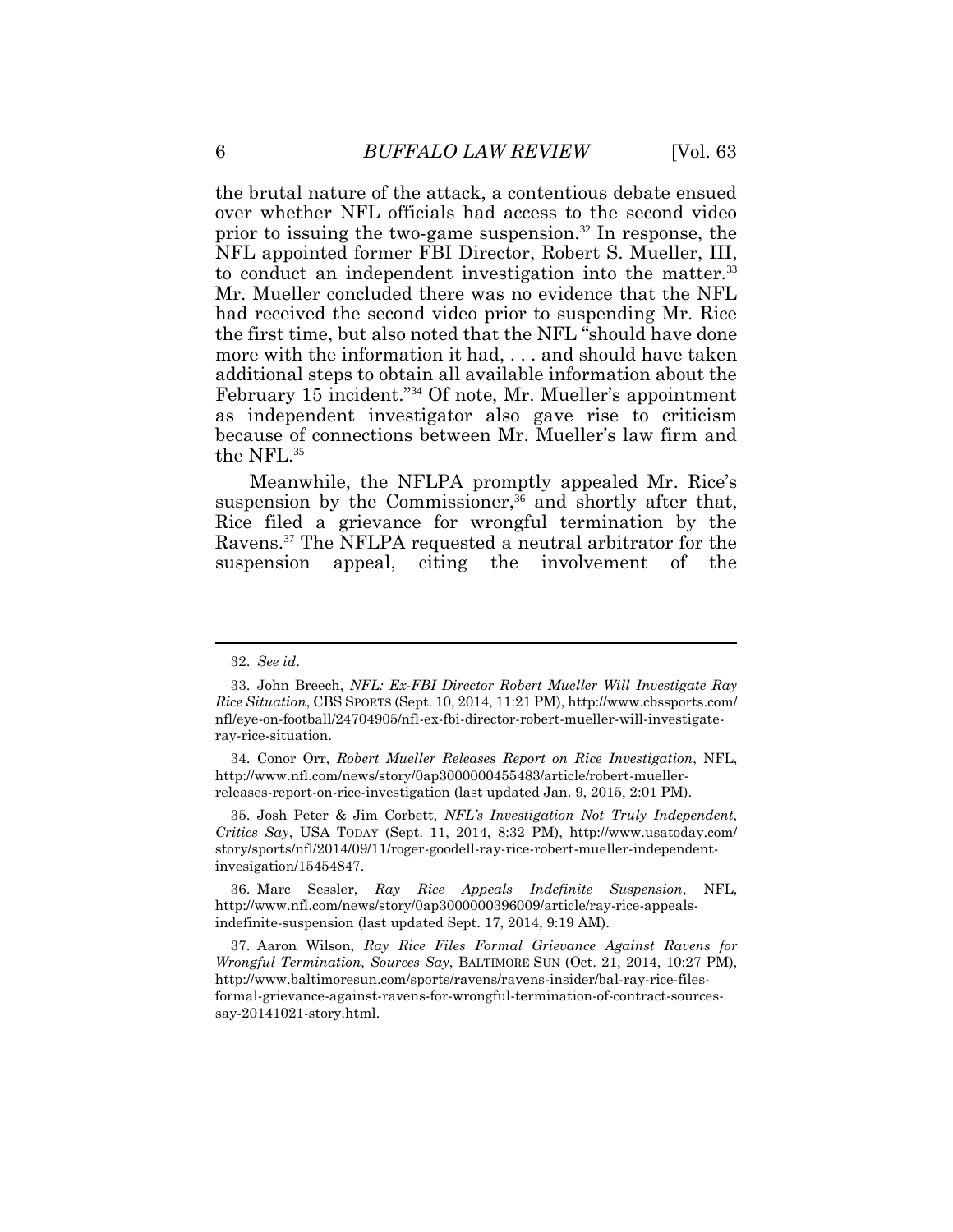over whether NFL officials had access to the second video prior to issuing the two-game [suspension.](https://suspension.32)<sup>32</sup> In response, the NFL appointed former FBI Director, Robert S. Mueller, III, Mr. Mueller concluded there was no evidence that the NFL had received the second video prior to suspending Mr. Rice the first time, but also noted that the NFL "should have done more with the information it had, . . . and should have taken February 15 incident."<sup>34</sup> Of note, Mr. Mueller's appointment <sup>6</sup>*BUFFALO LAW REVIEW* [Vol. 63 the brutal nature of the attack, a contentious debate ensued to conduct an independent investigation into the [matter.](https://matter.33)<sup>33</sup> additional steps to obtain all available information about the as independent investigator also gave rise to criticism because of connections between Mr. Mueller's law firm and the NFL.<sup>35</sup>

 Meanwhile, the NFLPA promptly appealed Mr. Rice's suspension by the Commissioner,<sup>36</sup> and shortly after that, Rice filed a grievance for wrongful termination by the [Ravens.](https://Ravens.37)<sup>37</sup> The NFLPA requested a neutral arbitrator for the suspension appeal, citing the involvement of the

 $\overline{a}$ 

<sup>32.</sup> *See id*.

 *Rice Situation*, CBS SPORTS (Sept. 10, 2014, 11:21 PM),<http://www.cbssports.com>/ 33. John Breech, *NFL: Ex-FBI Director Robert Mueller Will Investigate Ray*  nfl/eye-on-football/24704905/nfl-ex-fbi-director-robert-mueller-will-investigateray-rice-situation.

 34. Conor Orr, *Robert Mueller Releases Report on Rice Investigation*, NFL, <http://www.nfl.com/news/story/0ap3000000455483/article/robert-mueller>releases-report-on-rice-investigation (last updated Jan. 9, 2015, 2:01 PM).

 *Critics Say*, USA TODAY (Sept. 11, 2014, 8:32 PM), <http://www.usatoday.com>/ 35. Josh Peter & Jim Corbett, *NFL's Investigation Not Truly Independent,*  story/sports/nfl/2014/09/11/roger-goodell-ray-rice-robert-mueller-independentinvesigation/15454847.

<sup>36.</sup> Marc Sessler, *Ray Rice Appeals Indefinite Suspension*, NFL, <http://www.nfl.com/news/story/0ap3000000396009/article/ray-rice-appeals>indefinite-suspension (last updated Sept. 17, 2014, 9:19 AM).

 *Wrongful Termination, Sources Say*, BALTIMORE SUN (Oct. 21, 2014, 10:27 PM), 37. Aaron Wilson, *Ray Rice Files Formal Grievance Against Ravens for*  <http://www.baltimoresun.com/sports/ravens/ravens-insider/bal-ray-rice-files>formal-grievance-against-ravens-for-wrongful-termination-of-contract-sourcessay-20141021-story.html.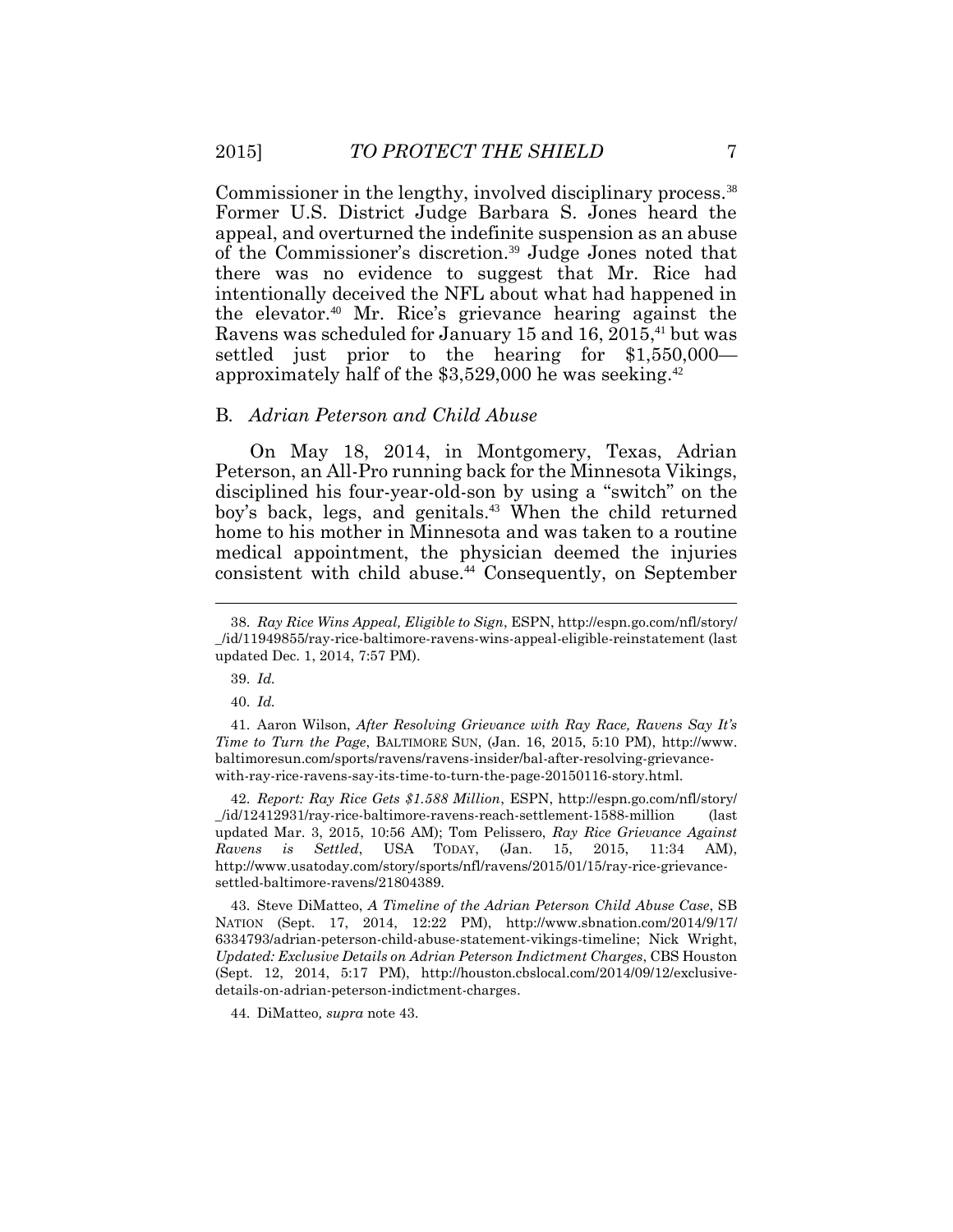Commissioner in the lengthy, involved disciplinary [process.](https://process.38)<sup>38</sup> Former U.S. District Judge Barbara S. Jones heard the appeal, and overturned the indefinite suspension as an abuse of the Commissioner's [discretion.](https://discretion.39)<sup>39</sup> Judge Jones noted that intentionally deceived the NFL about what had happened in Ravens was scheduled for January 15 and 16, 2015,<sup>41</sup> but was settled just prior to the hearing for \$1,550,000 there was no evidence to suggest that Mr. Rice had the [elevator.](https://elevator.40)<sup>40</sup> Mr. Rice's grievance hearing against the approximately half of the \$3,529,000 he was [seeking.](https://seeking.42)<sup>42</sup>

#### B*. Adrian Peterson and Child Abuse*

 Peterson, an All-Pro running back for the Minnesota Vikings, disciplined his four-year-old-son by using a "switch" on the boy's back, legs, and [genitals.](https://genitals.43)<sup>43</sup> When the child returned consistent with child [abuse.](https://abuse.44)<sup>44</sup> Consequently, on September On May 18, 2014, in Montgomery, Texas, Adrian home to his mother in Minnesota and was taken to a routine medical appointment, the physician deemed the injuries

 *Time to Turn the Page*, BALTIMORE SUN, (Jan. 16, 2015, 5:10 PM), <http://www>. 41. Aaron Wilson, *After Resolving Grievance with Ray Race, Ravens Say It's* [baltimoresun.com/sports/ravens/ravens-insider/bal-after-resolving-grievance](https://baltimoresun.com/sports/ravens/ravens-insider/bal-after-resolving-grievance)with-ray-rice-ravens-say-its-time-to-turn-the-page-20150116-story.html.

 \_/id/12412931/ray-rice-baltimore-ravens-reach-settlement-1588-million (last updated Mar. 3, 2015, 10:56 AM); Tom Pelissero, *Ray Rice Grievance Against*  2015, 11:34 42. *Report: Ray Rice Gets \$1.588 Million*, ESPN, <http://espn.go.com/nfl/story>/ *Ravens is Settled*, USA TODAY, (Jan. 15, 2015, 11:34 AM), <http://www.usatoday.com/story/sports/nfl/ravens/2015/01/15/ray-rice-grievance>settled-baltimore-ravens/21804389.

 NATION (Sept. 17, 2014, 12:22 PM), <http://www.sbnation.com/2014/9/17>/ 6334793/adrian-peterson-child-abuse-statement-vikings-timeline; Nick Wright,  *Updated: Exclusive Details on Adrian Peterson Indictment Charges*, CBS Houston 43. Steve DiMatteo, *A Timeline of the Adrian Peterson Child Abuse Case*, SB (Sept. 12, 2014, 5:17 PM), <http://houston.cbslocal.com/2014/09/12/exclusive>details-on-adrian-peterson-indictment-charges.

44. DiMatteo*, supra* note 43.

 38. *Ray Rice Wins Appeal, Eligible to Sign*, ESPN, <http://espn.go.com/nfl/story>/ \_/id/11949855/ray-rice-baltimore-ravens-wins-appeal-eligible-reinstatement (last updated Dec. 1, 2014, 7:57 PM).

<sup>39.</sup> *Id.* 

<sup>40.</sup> *Id.*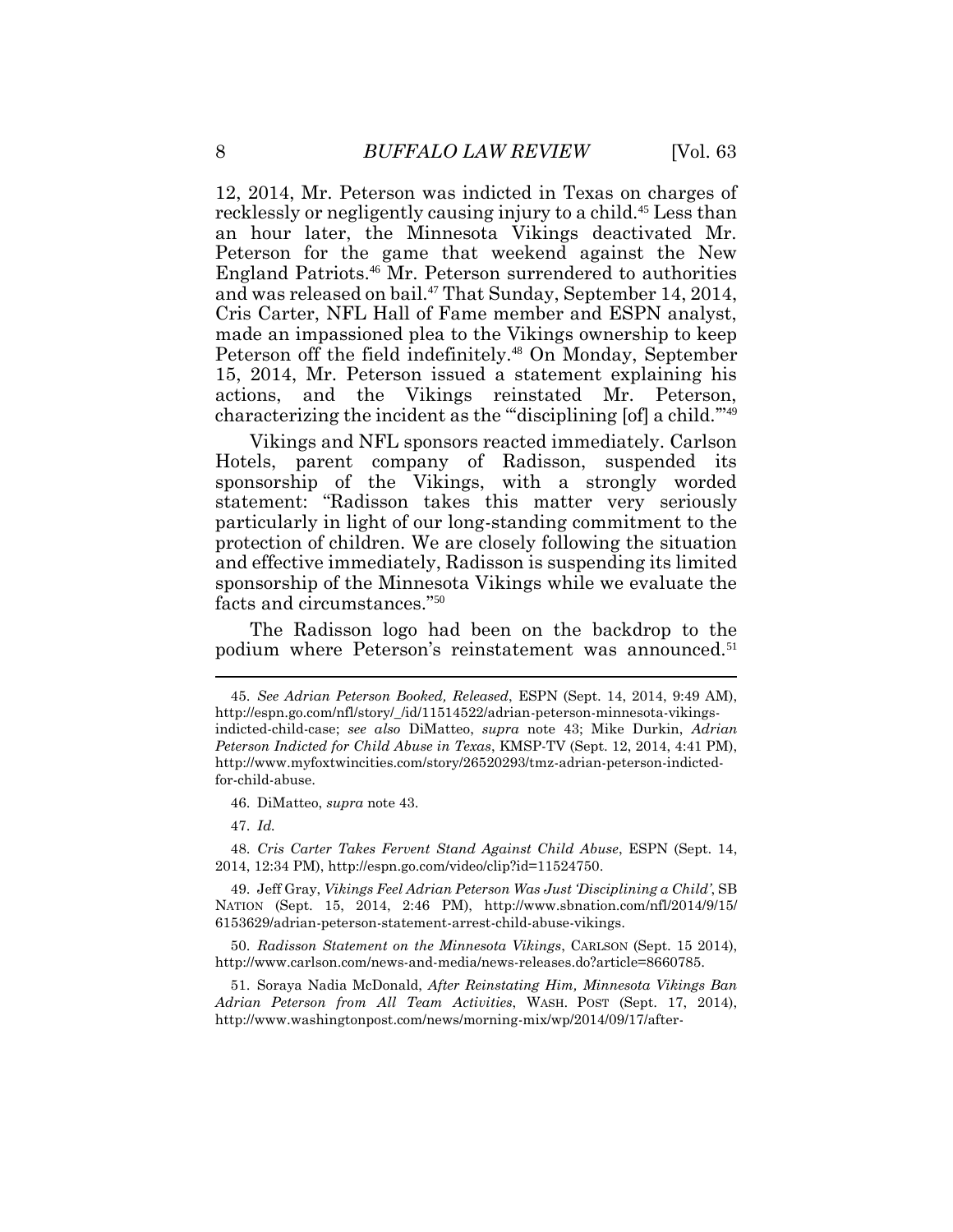recklessly or negligently causing injury to a [child.](https://child.45)<sup>45</sup> Less than an hour later, the Minnesota Vikings deactivated Mr. England [Patriots.](https://Patriots.46)<sup>46</sup> Mr. Peterson surrendered to authorities and was released on bail.<sup>47</sup> That Sunday, September 14, 2014, Cris Carter, NFL Hall of Fame member and ESPN analyst, made an impassioned plea to the Vikings ownership to keep Peterson off the field [indefinitely.](https://indefinitely.48)<sup>48</sup> On Monday, September 15, 2014, Mr. Peterson issued a statement explaining his characterizing the incident as the "'disciplining [of] a child.'"<sup>49</sup> 8 *BUFFALO LAW REVIEW* [Vol. 63<br>12, 2014, Mr. Peterson was indicted in Texas on charges of Peterson for the game that weekend against the New actions, and the Vikings reinstated Mr. Peterson,

 Vikings and NFL sponsors reacted immediately. Carlson Hotels, parent company of Radisson, suspended its sponsorship of the Vikings, with a strongly worded statement: "Radisson takes this matter very seriously particularly in light of our long-standing commitment to the protection of children. We are closely following the situation and effective immediately, Radisson is suspending its limited sponsorship of the Minnesota Vikings while we evaluate the facts and circumstances."<sup>50</sup>

 The Radisson logo had been on the backdrop to the podium where Peterson's reinstatement was [announced.](https://announced.51)<sup>51</sup>

46. DiMatteo, *supra* note 43.

47. *Id.* 

 $\overline{\phantom{a}}$ 

 48. *Cris Carter Takes Fervent Stand Against Child Abuse*, ESPN (Sept. 14, 2014, 12:34 PM), <http://espn.go.com/video/clip?id=11524750>.

 45. *See Adrian Peterson Booked, Released*, ESPN (Sept. 14, 2014, 9:49 AM), indicted-child-case; *see also* DiMatteo, *supra* note 43; Mike Durkin, *Adrian Peterson Indicted for Child Abuse in Texas*, KMSP-TV (Sept. 12, 2014, 4:41 PM), [http://espn.go.com/nfl/story/\\_/id/11514522/adrian-peterson-minnesota-vikings](http://espn.go.com/nfl/story/_/id/11514522/adrian-peterson-minnesota-vikings)<http://www.myfoxtwincities.com/story/26520293/tmz-adrian-peterson-indicted>for-child-abuse.

<sup>49.</sup> Jeff Gray, *Vikings Feel Adrian Peterson Was Just 'Disciplining a Child'*, SB NATION (Sept. 15, 2014, 2:46 PM), <http://www.sbnation.com/nfl/2014/9/15>/ 6153629/adrian-peterson-statement-arrest-child-abuse-vikings.

<sup>50.</sup> *Radisson Statement on the Minnesota Vikings*, CARLSON (Sept. 15 2014), [http://www.carlson.com/news-and-media/news-releases.do?article=8660785.](http://www.carlson.com/news-and-media/news-releases.do?article=8660785)

 *Adrian Peterson from All Team Activities*, WASH. POST (Sept. 17, 2014), 51. Soraya Nadia McDonald, *After Reinstating Him, Minnesota Vikings Ban*  <http://www.washingtonpost.com/news/morning-mix/wp/2014/09/17/after>-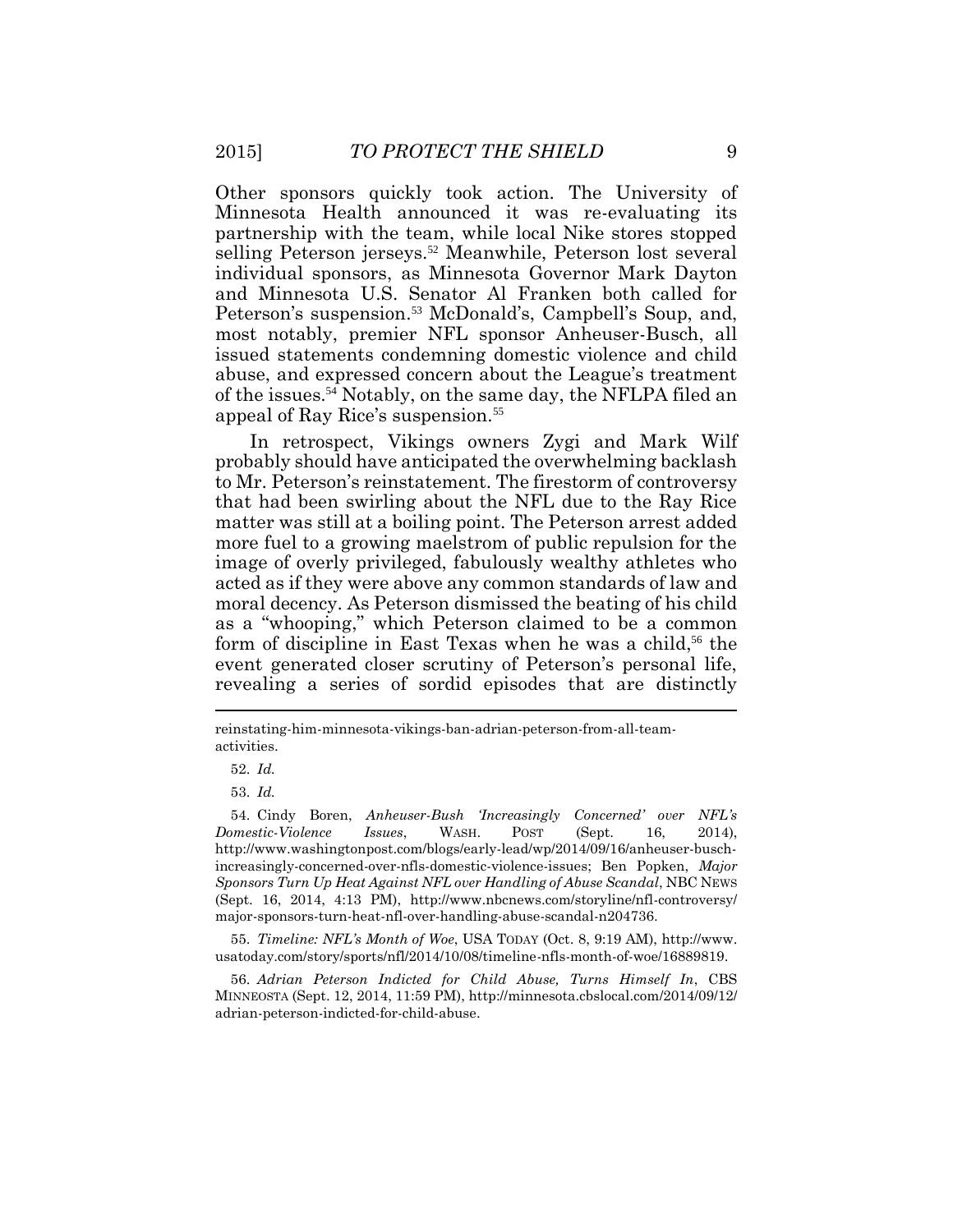Minnesota Health announced it was re-evaluating its partnership with the team, while local Nike stores stopped selling Peterson [jerseys.](https://jerseys.52)<sup>52</sup> Meanwhile, Peterson lost several individual sponsors, as Minnesota Governor Mark Dayton and Minnesota U.S. Senator Al Franken both called for most notably, premier NFL sponsor Anheuser-Busch, all issued statements condemning domestic violence and child abuse, and expressed concern about the League's treatment of the [issues.](https://issues.54)<sup>54</sup> Notably, on the same day, the NFLPA filed an Other sponsors quickly took action. The University of Peterson's [suspension.](https://suspension.53)<sup>53</sup> McDonald's, Campbell's Soup, and, appeal of Ray Rice's [suspension.](https://suspension.55)<sup>55</sup>

 In retrospect, Vikings owners Zygi and Mark Wilf probably should have anticipated the overwhelming backlash to Mr. Peterson's reinstatement. The firestorm of controversy matter was still at a boiling point. The Peterson arrest added more fuel to a growing maelstrom of public repulsion for the image of overly privileged, fabulously wealthy athletes who acted as if they were above any common standards of law and moral decency. As Peterson dismissed the beating of his child as a "whooping," which Peterson claimed to be a common form of discipline in East Texas when he was a child,<sup>56</sup> the event generated closer scrutiny of Peterson's personal life, revealing a series of sordid episodes that are distinctly that had been swirling about the NFL due to the Ray Rice

55. *Timeline: NFL's Month of Woe*, USA TODAY (Oct. 8, 9:19 AM),<http://www>. [usatoday.com/story/sports/nfl/2014/10/08/timeline-nfls-month-of-woe/16889819](https://usatoday.com/story/sports/nfl/2014/10/08/timeline-nfls-month-of-woe/16889819).

 56. *Adrian Peterson Indicted for Child Abuse, Turns Himself In*, CBS MINNEOSTA (Sept. 12, 2014, 11:59 PM),<http://minnesota.cbslocal.com/2014/09/12>/ adrian-peterson-indicted-for-child-abuse.

reinstating-him-minnesota-vikings-ban-adrian-peterson-from-all-teamactivities.

<sup>52.</sup> *Id.* 

<sup>53.</sup> *Id.* 

 *Sponsors Turn Up Heat Against NFL over Handling of Abuse Scandal*, NBC NEWS (Sept. 16, 2014, 4:13 PM), <http://www.nbcnews.com/storyline/nfl-controversy>/ 54. Cindy Boren, *Anheuser-Bush 'Increasingly Concerned' over NFL's Domestic-Violence Issues*, WASH. POST (Sept. 16, 2014), <http://www.washingtonpost.com/blogs/early-lead/wp/2014/09/16/anheuser-busch>increasingly-concerned-over-nfls-domestic-violence-issues; Ben Popken, *Major*  major-sponsors-turn-heat-nfl-over-handling-abuse-scandal-n204736.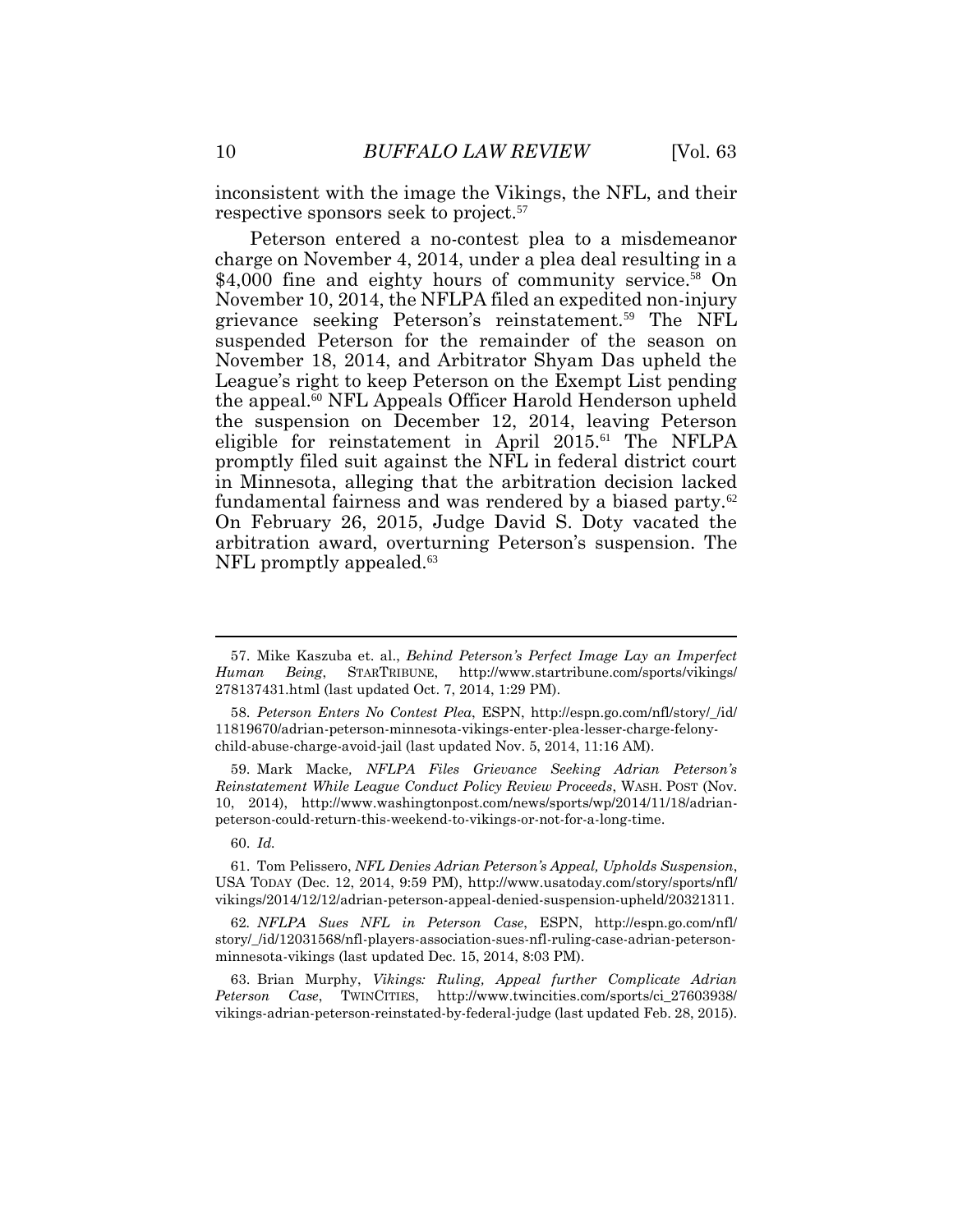10 *BUFFALO LAW REVIEW* [Vol. 63 inconsistent with the image the Vikings, the NFL, and their respective sponsors seek to [project.](https://project.57)<sup>57</sup>

 Peterson entered a no-contest plea to a misdemeanor charge on November 4, 2014, under a plea deal resulting in a \$4,000 fine and eighty hours of community [service.](https://service.58)<sup>58</sup> On November 10, 2014, the NFLPA filed an expedited non-injury suspended Peterson for the remainder of the season on November 18, 2014, and Arbitrator Shyam Das upheld the League's right to keep Peterson on the Exempt List pending the [appeal.](https://appeal.60)<sup>60</sup> NFL Appeals Officer Harold Henderson upheld the suspension on December 12, 2014, leaving Peterson eligible for reinstatement in April 2015.<sup>61</sup> The NFLPA promptly filed suit against the NFL in federal district court in Minnesota, alleging that the arbitration decision lacked fundamental fairness and was rendered by a biased [party.](https://party.62)<sup>62</sup> On February 26, 2015, Judge David S. Doty vacated the NFL promptly [appealed.](https://appealed.63)<sup>63</sup> grievance seeking Peterson's [reinstatement.](https://reinstatement.59)<sup>59</sup> The NFL arbitration award, overturning Peterson's suspension. The

 *Reinstatement While League Conduct Policy Review Proceeds*, WASH. POST (Nov. 10, 2014), <http://www.washingtonpost.com/news/sports/wp/2014/11/18/adrian>peterson-could-return-this-weekend-to-vikings-or-not-for-a-long-time.

60. *Id.* 

 $\overline{a}$ 

61. Tom Pelissero, *NFL Denies Adrian Peterson's Appeal, Upholds Suspension*, USA TODAY (Dec. 12, 2014, 9:59 PM), <http://www.usatoday.com/story/sports/nfl>/ vikings/2014/12/12/adrian-peterson-appeal-denied-suspension-upheld/20321311.

62*. NFLPA Sues NFL in Peterson Case*, ESPN, <http://espn.go.com/nfl>/ story/\_/id/12031568/nfl-players-association-sues-nfl-ruling-case-adrian-petersonminnesota-vikings (last updated Dec. 15, 2014, 8:03 PM).<br>63. Brian Murphy, *Vikings: Ruling, Appeal further Complicate Adrian* 

 vikings-adrian-peterson-reinstated-by-federal-judge (last updated Feb. 28, 2015). *Peterson Case*, TWINCITIES, [http://www.twincities.com/sports/ci\\_27603938](http://www.twincities.com/sports/ci_27603938)/

<sup>57.</sup> Mike Kaszuba et. al., *Behind Peterson's Perfect Image Lay an Imperfect Human Being*, STARTRIBUNE, <http://www.startribune.com/sports/vikings>/ 278137431.html (last updated Oct. 7, 2014, 1:29 PM).

 child-abuse-charge-avoid-jail (last updated Nov. 5, 2014, 11:16 AM). 59. Mark Macke*, NFLPA Files Grievance Seeking Adrian Peterson's* 58. *Peterson Enters No Contest Plea*, ESPN, [http://espn.go.com/nfl/story/\\_/id](http://espn.go.com/nfl/story/_/id)/ 11819670/adrian-peterson-minnesota-vikings-enter-plea-lesser-charge-felony-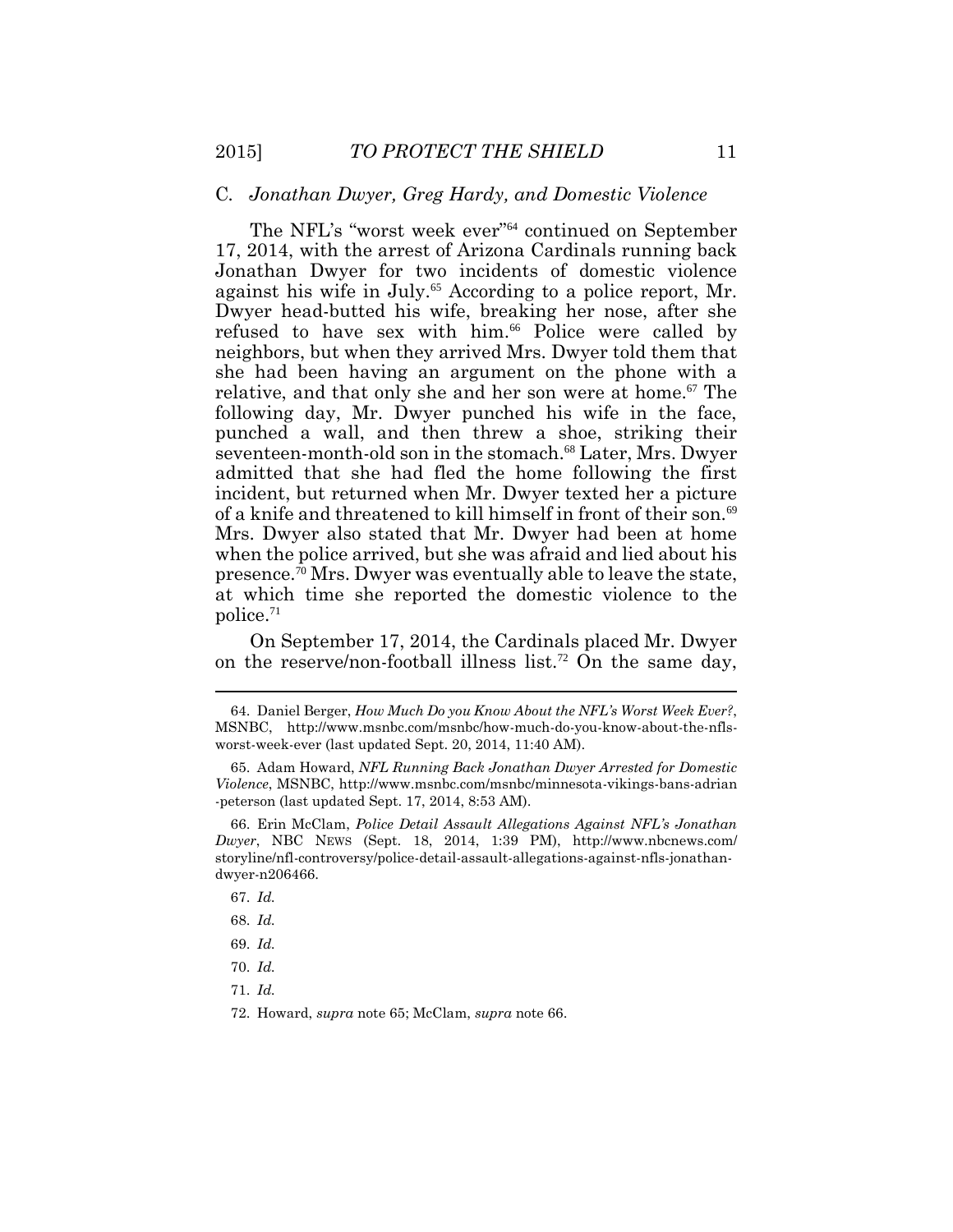#### C*. Jonathan Dwyer, Greg Hardy, and Domestic Violence*

 The NFL's "worst week ever"<sup>64</sup> continued on September Jonathan Dwyer for two incidents of domestic violence against his wife in July.<sup>65</sup> According to a police report, Mr. Dwyer head-butted his wife, breaking her nose, after she refused to have sex with him.<sup>66</sup> Police were called by neighbors, but when they arrived Mrs. Dwyer told them that she had been having an argument on the phone with a relative, and that only she and her son were at home.<sup>67</sup> The following day, Mr. Dwyer punched his wife in the face, punched a wall, and then threw a shoe, striking their seventeen-month-old son in the [stomach.](https://stomach.68)<sup>68</sup> Later, Mrs. Dwyer incident, but returned when Mr. Dwyer texted her a picture of a knife and threatened to kill himself in front of their son.<sup>69</sup> Mrs. Dwyer also stated that Mr. Dwyer had been at home when the police arrived, but she was afraid and lied about his [presence.](https://presence.70)<sup>70</sup> Mrs. Dwyer was eventually able to leave the state, at which time she reported the domestic violence to the [police.](https://police.71)<sup>71</sup> 17, 2014, with the arrest of Arizona Cardinals running back admitted that she had fled the home following the first

 On September 17, 2014, the Cardinals placed Mr. Dwyer on the reserve/non-football illness list.<sup>72</sup> On the same day,

 $\overline{a}$ 

71. *Id.* 

72. Howard, *supra* note 65; McClam, *supra* note 66.

<sup>64.</sup> Daniel Berger, *How Much Do you Know About the NFL's Worst Week Ever?*, MSNBC, <http://www.msnbc.com/msnbc/how-much-do-you-know-about-the-nfls>worst-week-ever (last updated Sept. 20, 2014, 11:40 AM).

<sup>65.</sup> Adam Howard, *NFL Running Back Jonathan Dwyer Arrested for Domestic Violence*, MSNBC, <http://www.msnbc.com/msnbc/minnesota-vikings-bans-adrian> -peterson (last updated Sept. 17, 2014, 8:53 AM).

 *Dwyer*, NBC NEWS (Sept. 18, 2014, 1:39 PM), <http://www.nbcnews.com>/ 66. Erin McClam, *Police Detail Assault Allegations Against NFL's Jonathan* storyline/nfl-controversy/police-detail-assault-allegations-against-nfls-jonathandwyer-n206466.

<sup>67.</sup> *Id.* 

<sup>68.</sup> *Id.* 

<sup>69.</sup> *Id.* 

<sup>70.</sup> *Id.*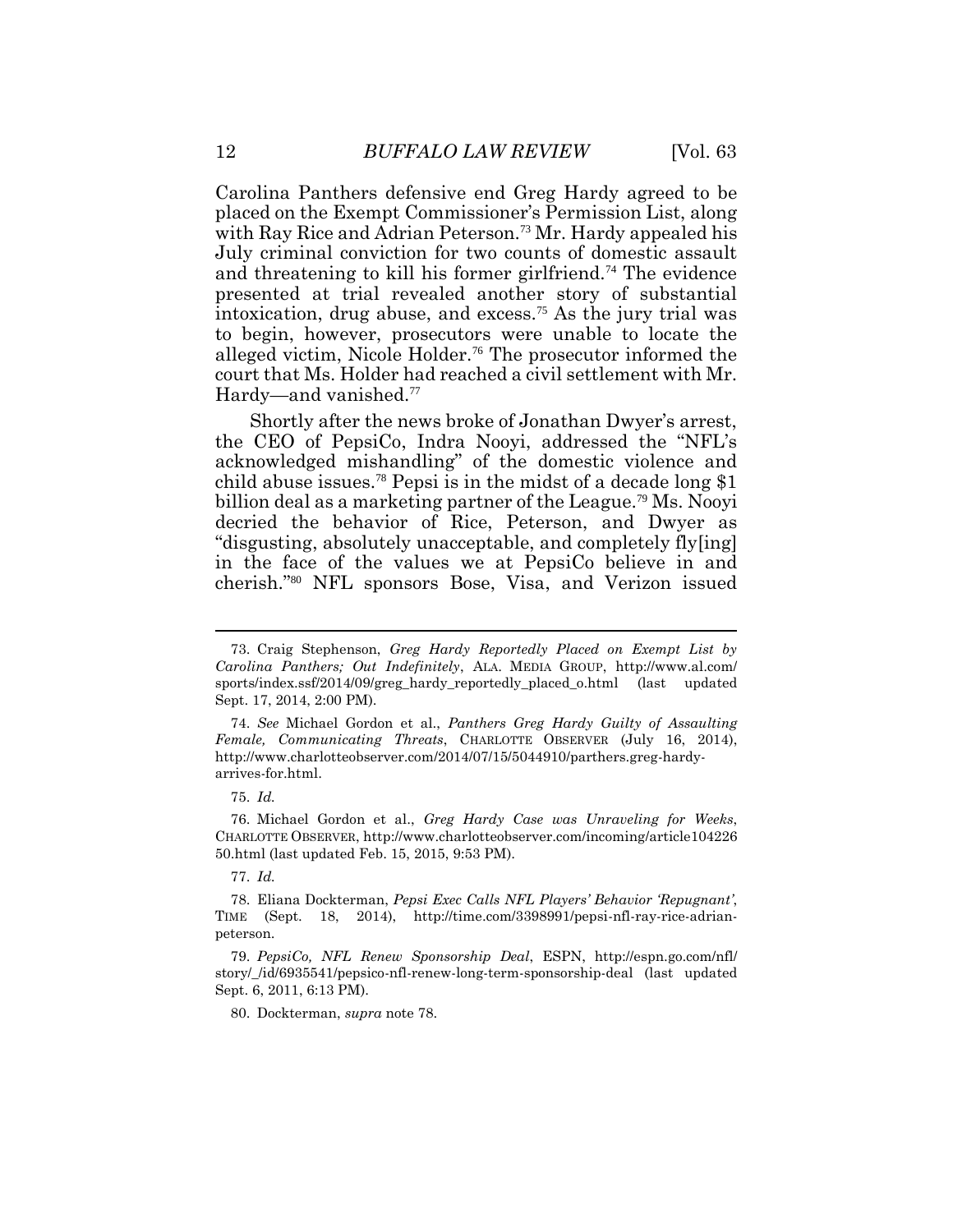12 *BUFFALO LAW REVIEW* [Vol. 63<br>Carolina Panthers defensive end Greg Hardy agreed to be with Ray Rice and Adrian [Peterson.](https://Peterson.73)<sup>73</sup> Mr. Hardy appealed his July criminal conviction for two counts of domestic assault and threatening to kill his former [girlfriend.](https://girlfriend.74)<sup>74</sup> The evidence presented at trial revealed another story of substantial intoxication, drug abuse, and [excess.](https://excess.75)<sup>75</sup> As the jury trial was alleged victim, Nicole [Holder.](https://Holder.76)<sup>76</sup> The prosecutor informed the court that Ms. Holder had reached a civil settlement with Mr. placed on the Exempt Commissioner's Permission List, along to begin, however, prosecutors were unable to locate the Hardy—and [vanished.](https://vanished.77)<sup>77</sup>

 Shortly after the news broke of Jonathan Dwyer's arrest, billion deal as a marketing partner of the [League.](https://League.79)<sup>79</sup> Ms. Nooyi decried the behavior of Rice, Peterson, and Dwyer as in the face of the values we at PepsiCo believe in and cherish."<sup>80</sup> NFL sponsors Bose, Visa, and Verizon issued the CEO of PepsiCo, Indra Nooyi, addressed the "NFL's acknowledged mishandling" of the domestic violence and child abuse [issues.](https://issues.78)<sup>78</sup> Pepsi is in the midst of a decade long \$1 "disgusting, absolutely unacceptable, and completely fly[ing]

76. Michael Gordon et al., *Greg Hardy Case was Unraveling for Weeks*, CHARLOTTE OBSERVER,<http://www.charlotteobserver.com/incoming/article104226> 50.html (last updated Feb. 15, 2015, 9:53 PM).

77. *Id.* 

80. Dockterman, *supra* note 78.

 sports/index.ssf/2014/09/greg\_hardy\_reportedly\_placed\_o.html (last updated 73. Craig Stephenson, *Greg Hardy Reportedly Placed on Exempt List by Carolina Panthers; Out Indefinitely*, ALA. MEDIA GROUP, <http://www.al.com>/ Sept. 17, 2014, 2:00 PM).

 74. *See* Michael Gordon et al., *Panthers Greg Hardy Guilty of Assaulting Female, Communicating Threats*, CHARLOTTE OBSERVER (July 16, 2014), <http://www.charlotteobserver.com/2014/07/15/5044910/parthers.greg-hardy>arrives-for.html.

<sup>75.</sup> *Id.* 

<sup>78.</sup> Eliana Dockterman, *Pepsi Exec Calls NFL Players' Behavior 'Repugnant'*, TIME (Sept. 18, 2014), <http://time.com/3398991/pepsi-nfl-ray-rice-adrian>peterson.

<sup>79.</sup> *PepsiCo, NFL Renew Sponsorship Deal*, ESPN, <http://espn.go.com/nfl>/ story/\_/id/6935541/pepsico-nfl-renew-long-term-sponsorship-deal (last updated Sept. 6, 2011, 6:13 PM).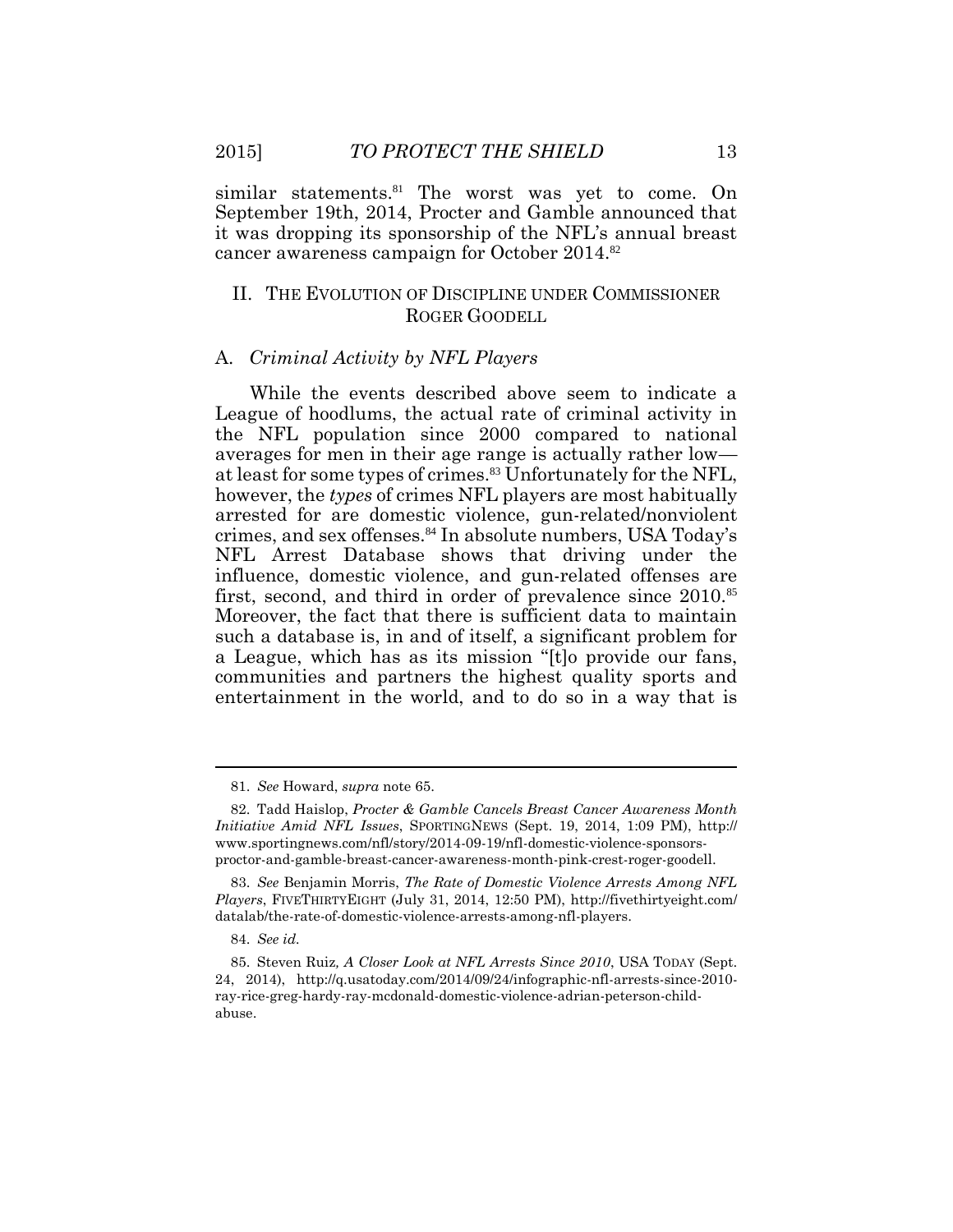similar [statements.](https://statements.81)<sup>81</sup> The worst was yet to come. On September 19th, 2014, Procter and Gamble announced that it was dropping its sponsorship of the NFL's annual breast cancer awareness campaign for October 2014.<sup>82</sup>

### II. THE EVOLUTION OF DISCIPLINE UNDER COMMISSIONER ROGER GOODELL

#### A. *Criminal Activity by NFL Players*

 While the events described above seem to indicate a League of hoodlums, the actual rate of criminal activity in the NFL population since 2000 compared to national averages for men in their age range is actually rather low at least for some types of [crimes.](https://crimes.83)<sup>83</sup> Unfortunately for the NFL, arrested for are domestic violence, gun-related/nonviolent crimes, and sex [offenses.](https://offenses.84)<sup>84</sup> In absolute numbers, USA Today's NFL Arrest Database shows that driving under the influence, domestic violence, and gun-related offenses are first, second, and third in order of prevalence since 2010.<sup>85</sup> such a database is, in and of itself, a significant problem for a League, which has as its mission "[t]o provide our fans, entertainment in the world, and to do so in a way that is however, the *types* of crimes NFL players are most habitually Moreover, the fact that there is sufficient data to maintain communities and partners the highest quality sports and

<sup>81.</sup> *See* Howard, *supra* note 65.

 *Initiative Amid NFL Issues*, SPORTINGNEWS (Sept. 19, 2014, 1:09 PM), http:// 82. Tadd Haislop, *Procter & Gamble Cancels Breast Cancer Awareness Month*  <www.sportingnews.com/nfl/story/2014-09-19/nfl-domestic-violence-sponsors>proctor-and-gamble-breast-cancer-awareness-month-pink-crest-roger-goodell.

 *Players*, FIVETHIRTYEIGHT (July 31, 2014, 12:50 PM), <http://fivethirtyeight.com>/ 83. *See* Benjamin Morris, *The Rate of Domestic Violence Arrests Among NFL*  datalab/the-rate-of-domestic-violence-arrests-among-nfl-players.

<sup>84.</sup> *See id.* 

<sup>85.</sup> Steven Ruiz*, A Closer Look at NFL Arrests Since 2010*, USA TODAY (Sept. 24, 2014), <http://q.usatoday.com/2014/09/24/infographic-nfl-arrests-since-2010> ray-rice-greg-hardy-ray-mcdonald-domestic-violence-adrian-peterson-childabuse.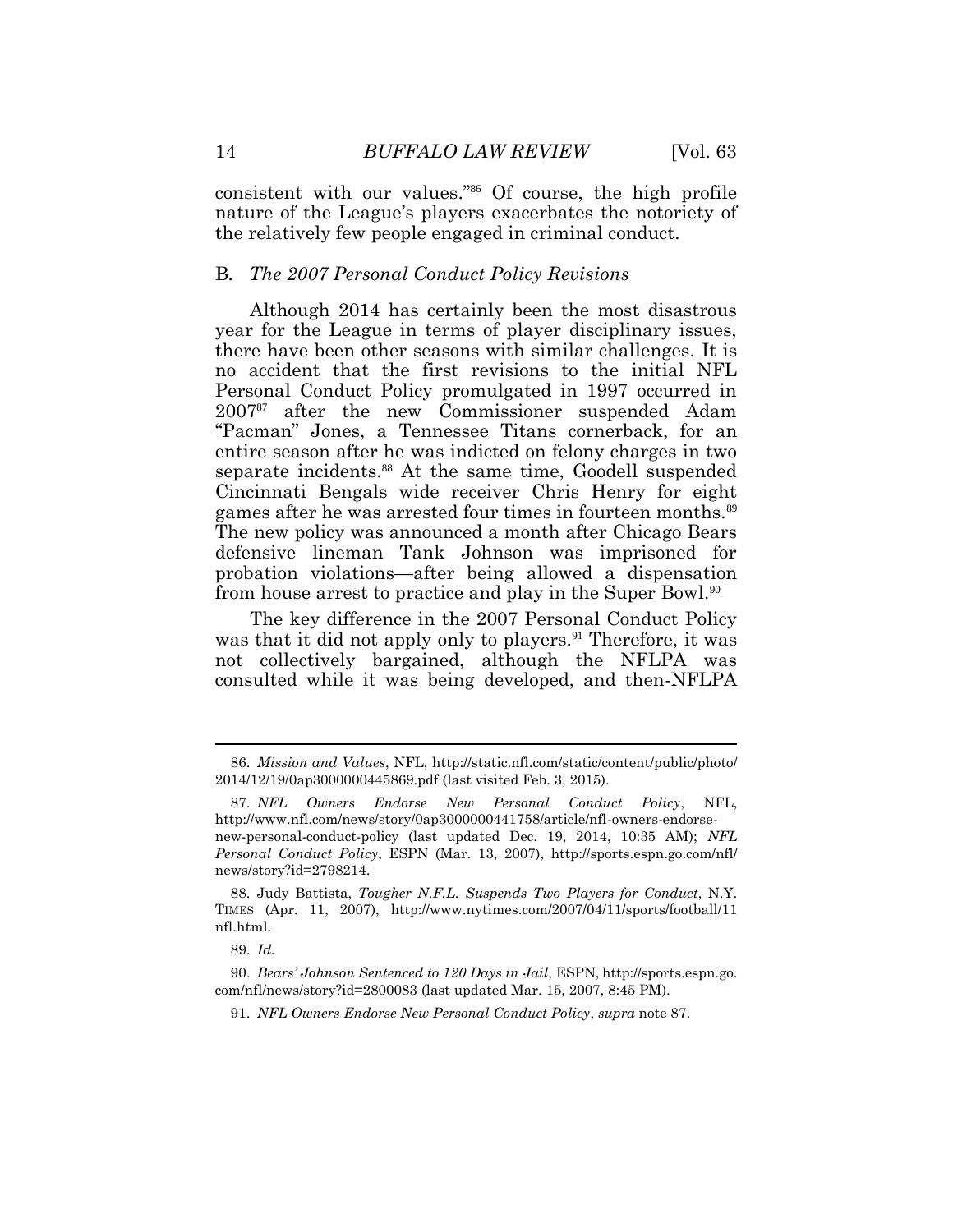14 *BUFFALO LAW REVIEW* [Vol. 63 consistent with our values."<sup>86</sup> Of course, the high profile the relatively few people engaged in criminal conduct. nature of the League's players exacerbates the notoriety of

#### B*. The 2007 Personal Conduct Policy Revisions*

 year for the League in terms of player disciplinary issues, there have been other seasons with similar challenges. It is no accident that the first revisions to the initial NFL Personal Conduct Policy promulgated in 1997 occurred in 2007<sup>87</sup> after the new Commissioner suspended Adam "Pacman" Jones, a Tennessee Titans cornerback, for an entire season after he was indicted on felony charges in two Cincinnati Bengals wide receiver Chris Henry for eight games after he was arrested four times in fourteen [months.](https://months.89)<sup>89</sup> The new policy was announced a month after Chicago Bears defensive lineman Tank Johnson was imprisoned for probation violations—after being allowed a dispensation from house arrest to practice and play in the Super Bowl.<sup>90</sup> Although 2014 has certainly been the most disastrous separate [incidents.](https://incidents.88)<sup>88</sup> At the same time, Goodell suspended

 The key difference in the 2007 Personal Conduct Policy was that it did not apply only to [players.](https://players.91)<sup>91</sup> Therefore, it was not collectively bargained, although the NFLPA was consulted while it was being developed, and then-NFLPA

 $\overline{a}$ 

<sup>86.</sup> *Mission and Values*, NFL, <http://static.nfl.com/static/content/public/photo>/ 2014/12/19/0ap3000000445869.pdf (last visited Feb. 3, 2015).

 new-personal-conduct-policy (last updated Dec. 19, 2014, 10:35 AM); *NFL*  87. *NFL Owners Endorse New Personal Conduct Policy*, NFL, <http://www.nfl.com/news/story/0ap3000000441758/article/nfl-owners-endorse>-*Personal Conduct Policy*, ESPN (Mar. 13, 2007), <http://sports.espn.go.com/nfl>/ news/story?id=2798214.

<sup>88.</sup> Judy Battista, *Tougher N.F.L. Suspends Two Players for Conduct*, N.Y. TIMES (Apr. 11, 2007), <http://www.nytimes.com/2007/04/11/sports/football/11> nfl.html.

<sup>89.</sup> *Id.* 

 90. *Bears' Johnson Sentenced to 120 Days in Jail*, ESPN,<http://sports.espn.go>. com/nfl/news/story?id=2800083 (last updated Mar. 15, 2007, 8:45 PM).

 91. *NFL Owners Endorse New Personal Conduct Policy*, *supra* note 87.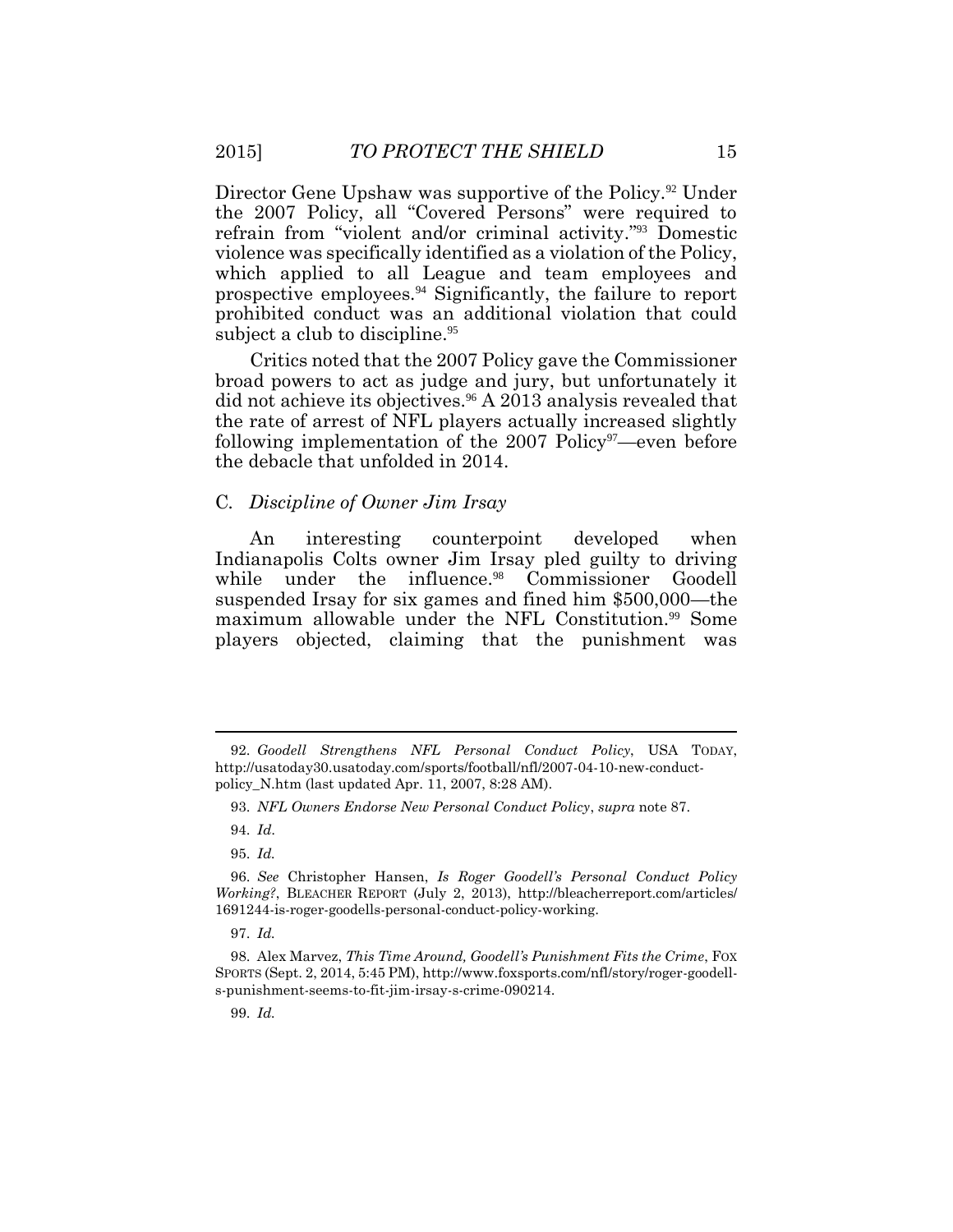Director Gene Upshaw was supportive of the [Policy.](https://Policy.92)<sup>92</sup> Under the 2007 Policy, all "Covered Persons" were required to refrain from "violent and/or criminal activity."<sup>93</sup> Domestic violence was specifically identified as a violation of the Policy, which applied to all League and team employees and subject a club to [discipline.](https://discipline.95)<sup>95</sup> prospective [employees.](https://employees.94)<sup>94</sup> Significantly, the failure to report prohibited conduct was an additional violation that could

 Critics noted that the 2007 Policy gave the Commissioner broad powers to act as judge and jury, but unfortunately it did not achieve its [objectives.](https://objectives.96)<sup>96</sup> A 2013 analysis revealed that the rate of arrest of NFL players actually increased slightly the debacle that unfolded in 2014. following implementation of the  $2007$  Policy<sup>97</sup>—even before

#### the debacle that unfolded in 2014. C*. Discipline of Owner Jim Irsay*

 Indianapolis Colts owner Jim Irsay pled guilty to driving while under the [influence.](https://influence.98)<sup>98</sup> Commissioner Goodell suspended Irsay for six games and fined him \$500,000—the maximum allowable under the NFL [Constitution.](https://Constitution.99)<sup>99</sup> Some An interesting counterpoint developed when players objected, claiming that the punishment was

 97. *Id.* 

99. *Id.* 

<sup>92.</sup> *Goodell Strengthens NFL Personal Conduct Policy*, USA TODAY, <http://usatoday30.usatoday.com/sports/football/nfl/2007-04-10-new-conduct>policy\_N.htm (last updated Apr. 11, 2007, 8:28 AM).

<sup>93.</sup> *NFL Owners Endorse New Personal Conduct Policy*, *supra* note 87.

<sup>94.</sup> *Id*.

<sup>95.</sup> *Id.* 

 *Working?*, BLEACHER REPORT (July 2, 2013), <http://bleacherreport.com/articles>/ 96. *See* Christopher Hansen, *Is Roger Goodell's Personal Conduct Policy* 1691244-is-roger-goodells-personal-conduct-policy-working.

 SPORTS (Sept. 2, 2014, 5:45 PM),<http://www.foxsports.com/nfl/story/roger-goodell>-98. Alex Marvez, *This Time Around, Goodell's Punishment Fits the Crime*, FOX s-punishment-seems-to-fit-jim-irsay-s-crime-090214.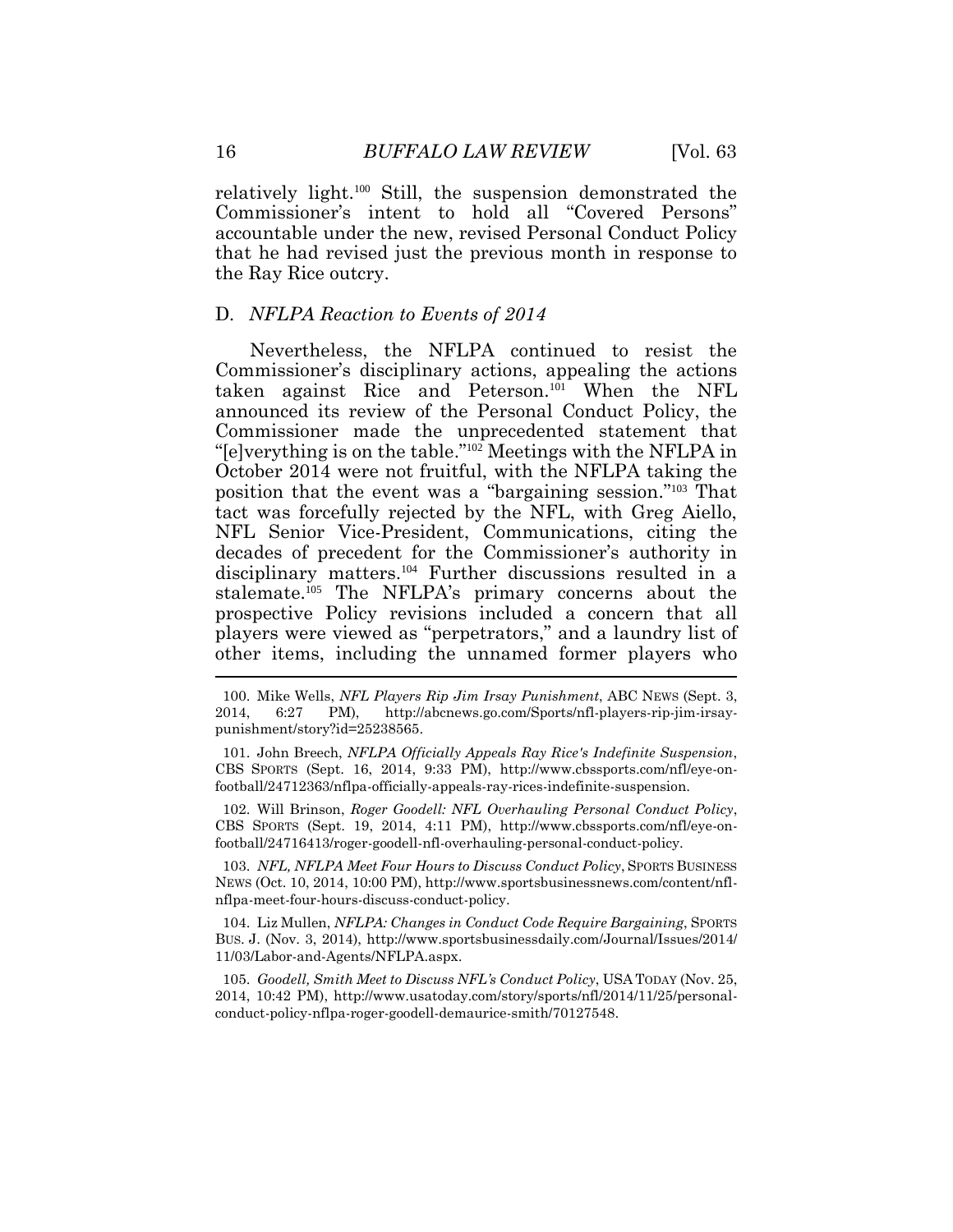16 *BUFFALO LAW REVIEW* [Vol. 63 relatively light.<sup>100</sup> Still, the suspension demonstrated the Commissioner's intent to hold all "Covered Persons" accountable under the new, revised Personal Conduct Policy that he had revised just the previous month in response to the Ray Rice outcry.

#### D*. NFLPA Reaction to Events of 2014*

 Commissioner made the unprecedented statement that October 2014 were not fruitful, with the NFLPA taking the position that the event was a "bargaining session."<sup>103</sup> That tact was forcefully rejected by the NFL, with Greg Aiello, NFL Senior Vice-President, Communications, citing the decades of precedent for the Commissioner's authority in disciplinary matters.<sup>104</sup> Further discussions resulted in a stalemate.<sup>105</sup> The NFLPA's primary concerns about the prospective Policy revisions included a concern that all players were viewed as "perpetrators," and a laundry list of  $\overline{a}$ Nevertheless, the NFLPA continued to resist the Commissioner's disciplinary actions, appealing the actions taken against Rice and Peterson.<sup>101</sup> When the NFL announced its review of the Personal Conduct Policy, the "[e]verything is on the table."<sup>102</sup> Meetings with the NFLPA in other items, including the unnamed former players who

 CBS SPORTS (Sept. 16, 2014, 9:33 PM), [http://www.cbssports.com/nfl/eye-on-](http://www.cbssports.com/nfl/eye-on)101. John Breech, *NFLPA Officially Appeals Ray Rice's Indefinite Suspension*, football/24712363/nflpa-officially-appeals-ray-rices-indefinite-suspension.

 CBS SPORTS (Sept. 19, 2014, 4:11 PM), [http://www.cbssports.com/nfl/eye-on-](http://www.cbssports.com/nfl/eye-on)102. Will Brinson, *Roger Goodell: NFL Overhauling Personal Conduct Policy*, football/24716413/roger-goodell-nfl-overhauling-personal-conduct-policy.

 103. *NFL, NFLPA Meet Four Hours to Discuss Conduct Policy*, SPORTS BUSINESS NEWS (Oct. 10, 2014, 10:00 PM),<http://www.sportsbusinessnews.com/content/nfl>nflpa-meet-four-hours-discuss-conduct-policy.

104. Liz Mullen, *NFLPA: Changes in Conduct Code Require Bargaining*, SPORTS BUS. J. (Nov. 3, 2014), [http://www.sportsbusinessdaily.com/Journal/Issues/2014/](http://www.sportsbusinessdaily.com/Journal/Issues/2014) 11/03/Labor-and-Agents/NFLPA.aspx.

 2014, 10:42 PM), [http://www.usatoday.com/story/sports/nfl/2014/11/25/personal-](http://www.usatoday.com/story/sports/nfl/2014/11/25/personal) conduct-policy-nflpa-roger-goodell-demaurice-smith/70127548. 105. *Goodell, Smith Meet to Discuss NFL's Conduct Policy*, USA TODAY (Nov. 25,

<sup>2014,</sup> 100. Mike Wells, *NFL Players Rip Jim Irsay Punishment*, ABC NEWS (Sept. 3, 2014, 6:27 PM), <http://abcnews.go.com/Sports/nfl-players-rip-jim-irsay>punishment/story?id=25238565.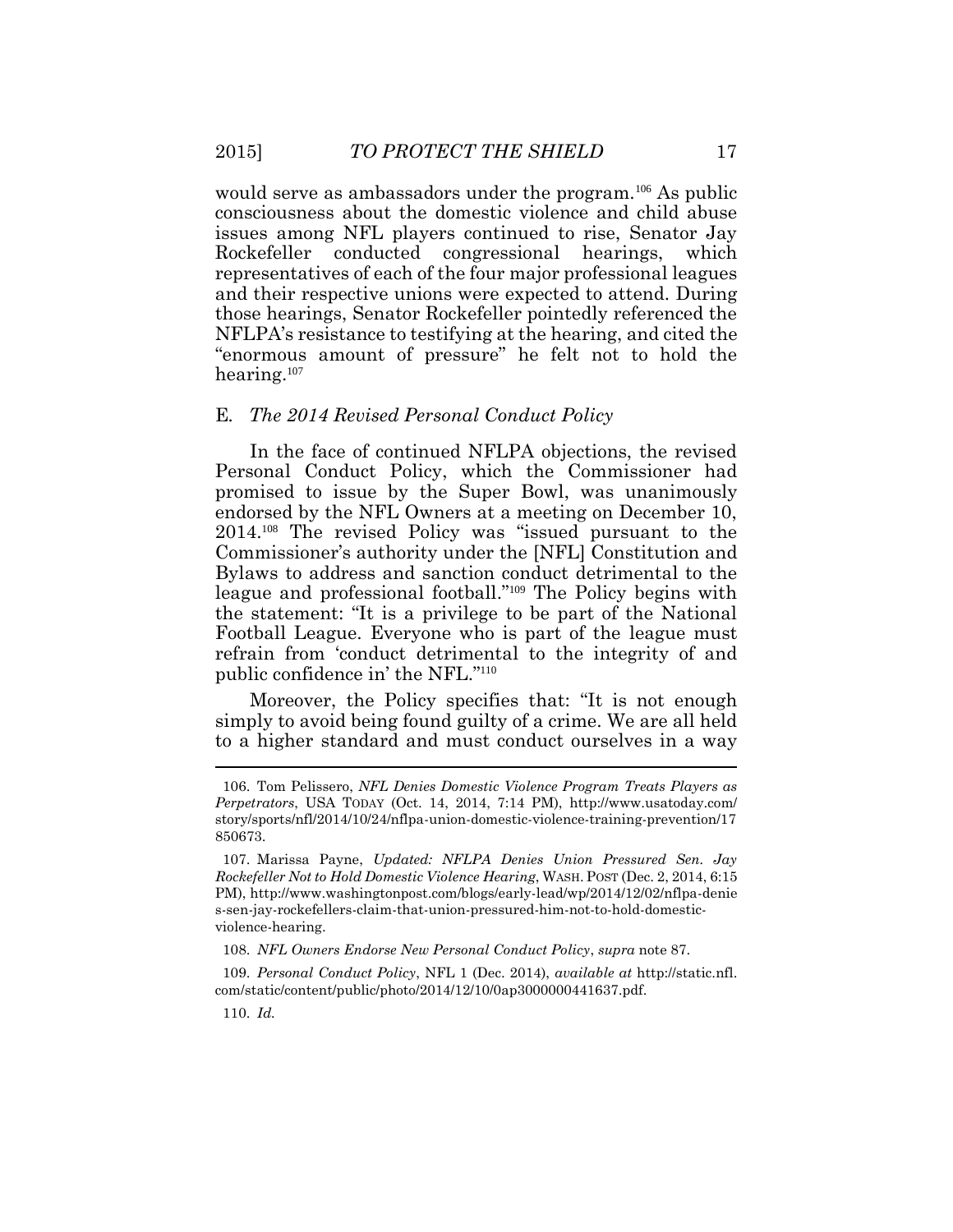would serve as ambassadors under the program.<sup>106</sup> As public consciousness about the domestic violence and child abuse issues among NFL players continued to rise, Senator Jay representatives of each of the four major professional leagues and their respective unions were expected to attend. During those hearings, Senator Rockefeller pointedly referenced the NFLPA's resistance to testifying at the hearing, and cited the "enormous amount of pressure" he felt not to hold the Rockefeller conducted congressional hearings, which hearing.<sup>107</sup>

#### E*. The 2014 Revised Personal Conduct Policy*

 Personal Conduct Policy, which the Commissioner had promised to issue by the Super Bowl, was unanimously endorsed by the NFL Owners at a meeting on December 10, 2014.<sup>108</sup> The revised Policy was "issued pursuant to the Commissioner's authority under the [NFL] Constitution and Bylaws to address and sanction conduct detrimental to the league and professional football."<sup>109</sup> The Policy begins with the statement: "It is a privilege to be part of the National refrain from 'conduct detrimental to the integrity of and In the face of continued NFLPA objections, the revised Football League. Everyone who is part of the league must public confidence in' the NFL."<sup>110</sup>

 Moreover, the Policy specifies that: "It is not enough simply to avoid being found guilty of a crime. We are all held to a higher standard and must conduct ourselves in a way

 *Perpetrators*, USA TODAY (Oct. 14, 2014, 7:14 PM), <http://www.usatoday.com>/ 106. Tom Pelissero, *NFL Denies Domestic Violence Program Treats Players as*  story/sports/nfl/2014/10/24/nflpa-union-domestic-violence-training-prevention/17 850673.

 *Rockefeller Not to Hold Domestic Violence Hearing*, WASH. POST (Dec. 2, 2014, 6:15 107. Marissa Payne, *Updated: NFLPA Denies Union Pressured Sen. Jay*  PM), <http://www.washingtonpost.com/blogs/early-lead/wp/2014/12/02/nflpa-denie> s-sen-jay-rockefellers-claim-that-union-pressured-him-not-to-hold-domesticviolence-hearing.

 108. *NFL Owners Endorse New Personal Conduct Policy*, *supra* note 87.

 com/static/content/public/photo/2014/12/10/0ap3000000441637.pdf. 110. *Id.* 109. *Personal Conduct Policy*, NFL 1 (Dec. 2014), *available at* <http://static.nfl>.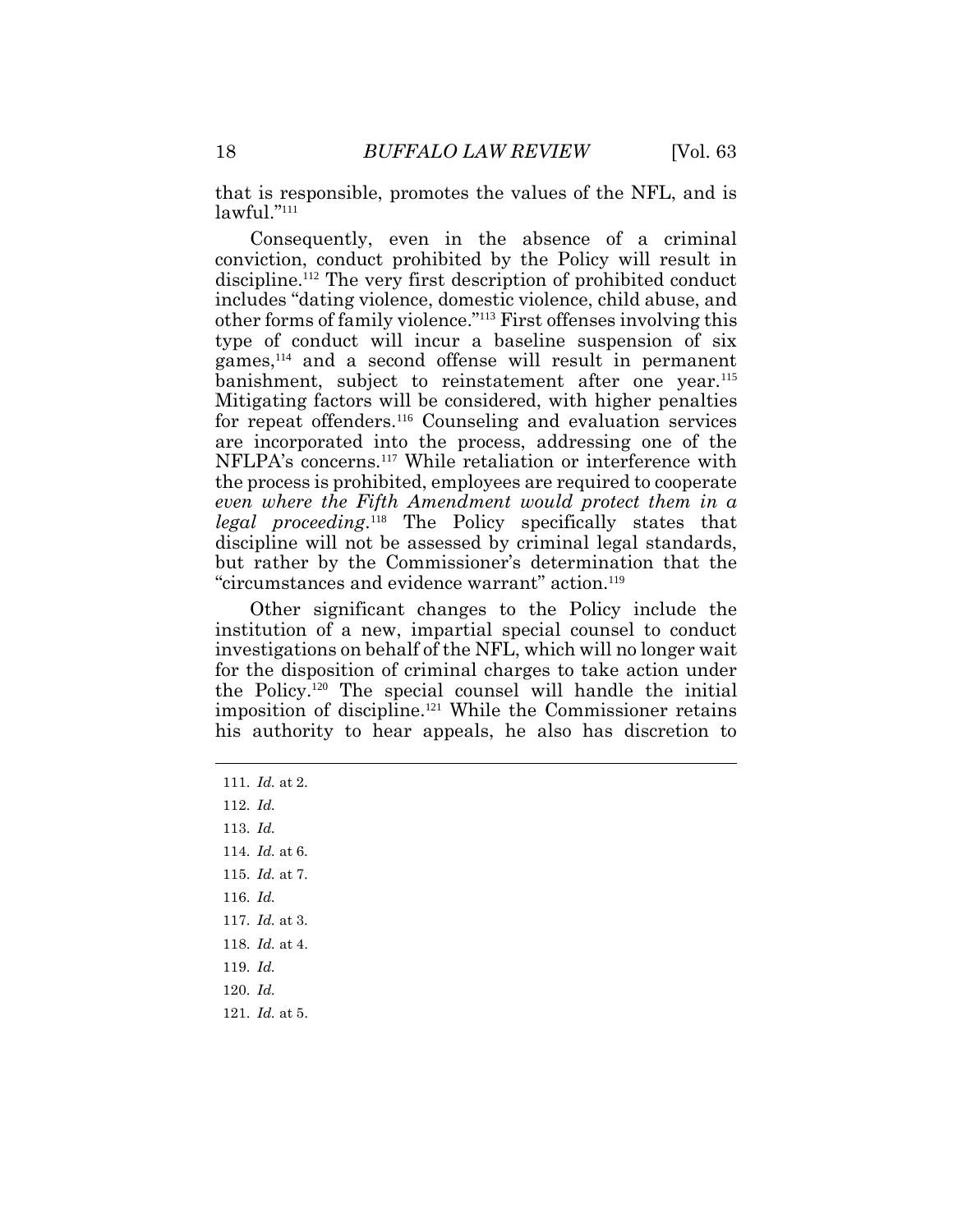18 *BUFFALO LAW REVIEW* [Vol. 63 that is responsible, promotes the values of the NFL, and is lawful."<sup>111</sup>

 Consequently, even in the absence of a criminal conviction, conduct prohibited by the Policy will result in discipline.<sup>112</sup> The very first description of prohibited conduct includes "dating violence, domestic violence, child abuse, and other forms of family violence."<sup>113</sup> First offenses involving this type of conduct will incur a baseline suspension of six games,<sup>114</sup> and a second offense will result in permanent banishment, subject to reinstatement after one year.<sup>115</sup> Mitigating factors will be considered, with higher penalties  *even where the Fifth Amendment would protect them in a*  discipline will not be assessed by criminal legal standards, but rather by the Commissioner's determination that the for repeat offenders.<sup>116</sup> Counseling and evaluation services are incorporated into the process, addressing one of the NFLPA's concerns.<sup>117</sup> While retaliation or interference with the process is prohibited, employees are required to cooperate *legal proceeding*. <sup>118</sup> The Policy specifically states that "circumstances and evidence warrant" action.<sup>119</sup>

 Other significant changes to the Policy include the institution of a new, impartial special counsel to conduct the Policy.<sup>120</sup> The special counsel will handle the initial imposition of discipline.<sup>121</sup> While the Commissioner retains his authority to hear appeals, he also has discretion to investigations on behalf of the NFL, which will no longer wait for the disposition of criminal charges to take action under

111. *Id.* at 2. 112. *Id.*  113. *Id.*  114. *Id.* at 6. 115. *Id.* at 7. 116. *Id.*  117. *Id.* at 3. 118. *Id.* at 4. 119. *Id.*  120. *Id.*  121. *Id.* at 5.

 $\overline{a}$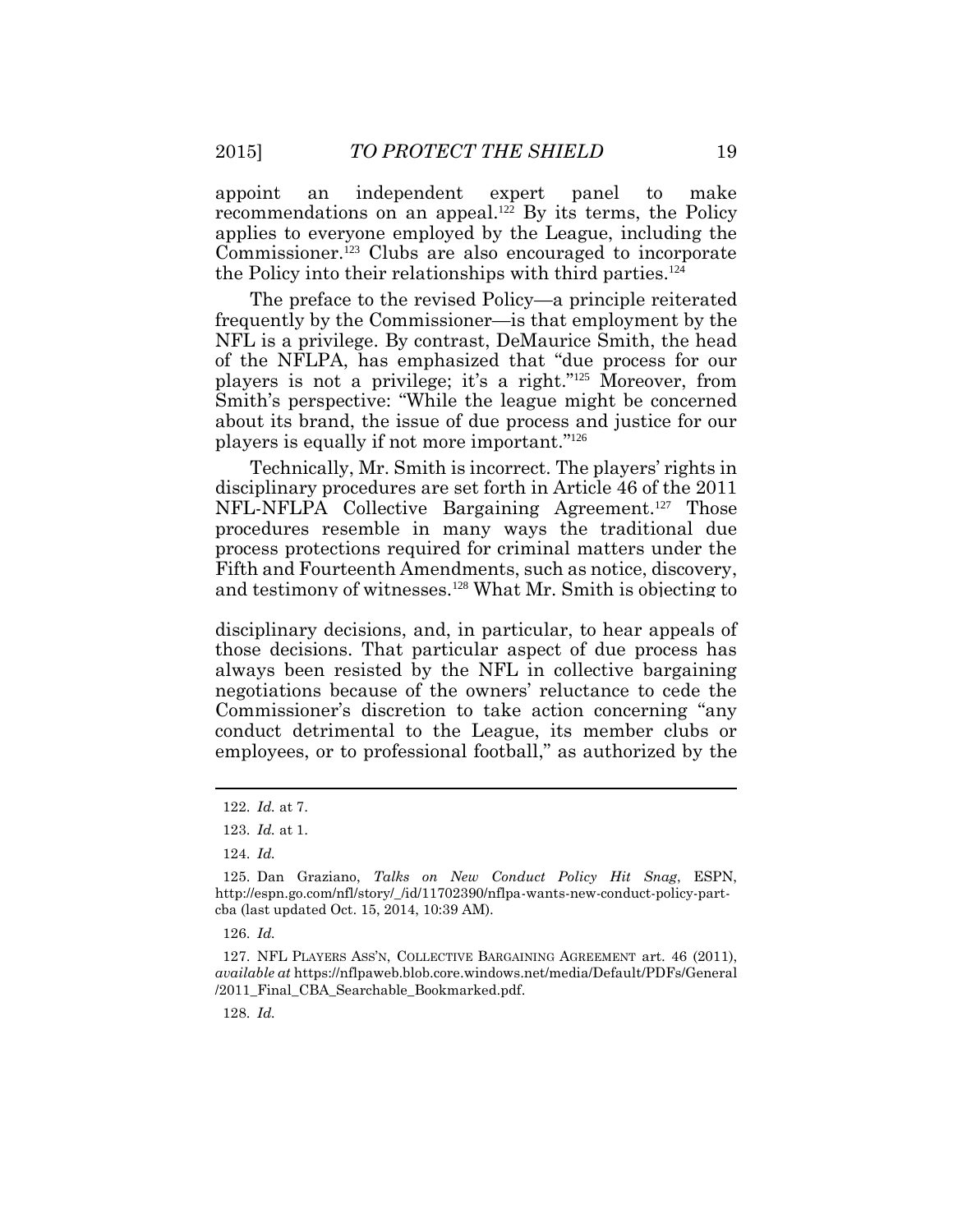applies to everyone employed by the League, including the Commissioner.<sup>123</sup> Clubs are also encouraged to incorporate the Policy into their relationships with third parties.<sup>124</sup> appoint an independent expert panel to make recommendations on an appeal.<sup>122</sup> By its terms, the Policy

 The preface to the revised Policy—a principle reiterated NFL is a privilege. By contrast, DeMaurice Smith, the head of the NFLPA, has emphasized that "due process for our players is not a privilege; it's a right."<sup>125</sup> Moreover, from about its brand, the issue of due process and justice for our frequently by the Commissioner—is that employment by the Smith's perspective: "While the league might be concerned players is equally if not more important."<sup>126</sup>

 Technically, Mr. Smith is incorrect. The players' rights in NFL-NFLPA Collective Bargaining Agreement.<sup>127</sup> Those procedures resemble in many ways the traditional due process protections required for criminal matters under the and testimony of witnesses.<sup>128</sup> What Mr. Smith is objecting to disciplinary procedures are set forth in Article 46 of the 2011 Fifth and Fourteenth Amendments, such as notice, discovery,

 those decisions. That particular aspect of due process has always been resisted by the NFL in collective bargaining conduct detrimental to the League, its member clubs or employees, or to professional football," as authorized by the disciplinary decisions, and, in particular, to hear appeals of negotiations because of the owners' reluctance to cede the Commissioner's discretion to take action concerning "any

 $\overline{a}$ 

128. *Id.* 

<sup>122.</sup> *Id.* at 7.

<sup>123.</sup> *Id.* at 1.

<sup>124.</sup> *Id.* 

 cba (last updated Oct. 15, 2014, 10:39 AM). 126. *Id.*  125. Dan Graziano, *Talks on New Conduct Policy Hit Snag*, ESPN, [http://espn.go.com/nfl/story/\\_/id/11702390/nflpa-wants-new-conduct-policy-part](http://espn.go.com/nfl/story/_/id/11702390/nflpa-wants-new-conduct-policy-part)-

 *available at* <https://nflpaweb.blob.core.windows.net/media/Default/PDFs/General> 127. NFL PLAYERS ASS'N, COLLECTIVE BARGAINING AGREEMENT art. 46 (2011), /2011\_Final\_CBA\_Searchable\_Bookmarked.pdf.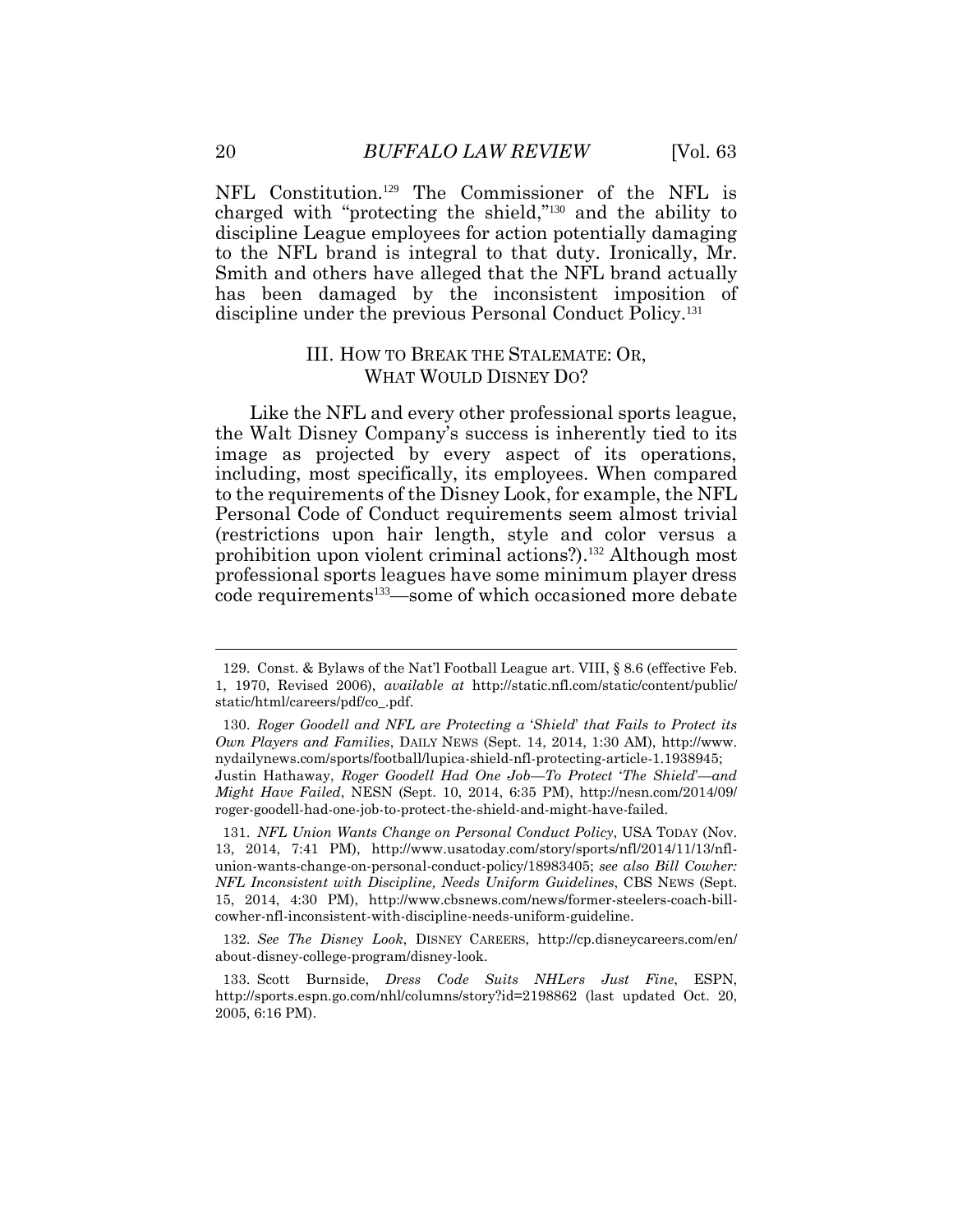charged with "protecting the shield,"<sup>130</sup> and the ability to discipline League employees for action potentially damaging to the NFL brand is integral to that duty. Ironically, Mr. Smith and others have alleged that the NFL brand actually has been damaged by the inconsistent imposition of 20 *BUFFALO LAW REVIEW* [Vol. 63<br>NFL Constitution.<sup>129</sup> The Commissioner of the NFL is discipline under the previous Personal Conduct Policy.<sup>131</sup>

#### III. HOW TO BREAK THE STALEMATE: OR, WHAT WOULD DISNEY DO?

 Like the NFL and every other professional sports league, the Walt Disney Company's success is inherently tied to its image as projected by every aspect of its operations, including, most specifically, its employees. When compared to the requirements of the Disney Look, for example, the NFL (restrictions upon hair length, style and color versus a professional sports leagues have some minimum player dress Personal Code of Conduct requirements seem almost trivial prohibition upon violent criminal actions?).<sup>132</sup> Although most code requirements<sup>133</sup>—some of which occasioned more debate

<sup>129.</sup> Const. & Bylaws of the Nat'l Football League art. VIII, § 8.6 (effective Feb. 1, 1970, Revised 2006), *available at* <http://static.nfl.com/static/content/public>/ static/html/careers/pdf/co\_.pdf.

 *Own Players and Families*, DAILY NEWS (Sept. 14, 2014, 1:30 AM), <http://www>.  Justin Hathaway, *Roger Goodell Had One Job—To Protect* '*The Shield*'*—and Might Have Failed*, NESN (Sept. 10, 2014, 6:35 PM), <http://nesn.com/2014/09>/ 130. *Roger Goodell and NFL are Protecting a* '*Shield*' *that Fails to Protect its*  [nydailynews.com/sports/football/lupica-shield-nfl-protecting-article-1.1938945;](https://nydailynews.com/sports/football/lupica-shield-nfl-protecting-article-1.1938945) roger-goodell-had-one-job-to-protect-the-shield-and-might-have-failed.

 131. *NFL Union Wants Change on Personal Conduct Policy*, USA TODAY (Nov. 13, 2014, 7:41 PM), [http://www.usatoday.com/story/sports/nfl/2014/11/13/nfl-](http://www.usatoday.com/story/sports/nfl/2014/11/13/nfl) *NFL Inconsistent with Discipline, Needs Uniform Guidelines*, CBS NEWS (Sept. 15, 2014, 4:30 PM), <http://www.cbsnews.com/news/former-steelers-coach-bill>union-wants-change-on-personal-conduct-policy/18983405; *see also Bill Cowher:*  cowher-nfl-inconsistent-with-discipline-needs-uniform-guideline.

 132. *See The Disney Look*, DISNEY CAREERS, <http://cp.disneycareers.com/en>/ about-disney-college-program/disney-look.

<sup>133.</sup> Scott Burnside, *Dress Code Suits NHLers Just Fine*, ESPN, <http://sports.espn.go.com/nhl/columns/story?id=2198862>(last updated Oct. 20, 2005, 6:16 PM).